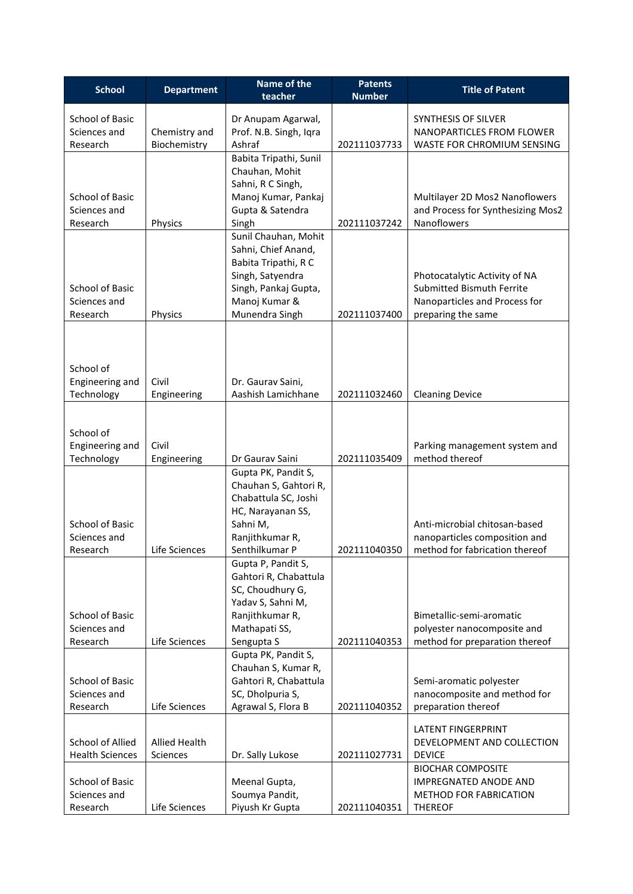| <b>School</b>                          | <b>Department</b>    | Name of the                             | <b>Patents</b> | <b>Title of Patent</b>                                              |
|----------------------------------------|----------------------|-----------------------------------------|----------------|---------------------------------------------------------------------|
|                                        |                      | teacher                                 | <b>Number</b>  |                                                                     |
| <b>School of Basic</b>                 |                      | Dr Anupam Agarwal,                      |                | SYNTHESIS OF SILVER                                                 |
| Sciences and                           | Chemistry and        | Prof. N.B. Singh, Iqra                  |                | NANOPARTICLES FROM FLOWER                                           |
| Research                               | Biochemistry         | Ashraf                                  | 202111037733   | WASTE FOR CHROMIUM SENSING                                          |
|                                        |                      | Babita Tripathi, Sunil                  |                |                                                                     |
|                                        |                      | Chauhan, Mohit                          |                |                                                                     |
|                                        |                      | Sahni, R C Singh,                       |                |                                                                     |
| School of Basic<br>Sciences and        |                      | Manoj Kumar, Pankaj<br>Gupta & Satendra |                | Multilayer 2D Mos2 Nanoflowers<br>and Process for Synthesizing Mos2 |
| Research                               | Physics              | Singh                                   | 202111037242   | Nanoflowers                                                         |
|                                        |                      | Sunil Chauhan, Mohit                    |                |                                                                     |
|                                        |                      | Sahni, Chief Anand,                     |                |                                                                     |
|                                        |                      | Babita Tripathi, R C                    |                |                                                                     |
|                                        |                      | Singh, Satyendra                        |                | Photocatalytic Activity of NA                                       |
| School of Basic                        |                      | Singh, Pankaj Gupta,                    |                | Submitted Bismuth Ferrite                                           |
| Sciences and                           |                      | Manoj Kumar &<br>Munendra Singh         | 202111037400   | Nanoparticles and Process for                                       |
| Research                               | Physics              |                                         |                | preparing the same                                                  |
|                                        |                      |                                         |                |                                                                     |
|                                        |                      |                                         |                |                                                                     |
| School of                              |                      |                                         |                |                                                                     |
| Engineering and                        | Civil                | Dr. Gaurav Saini,                       |                |                                                                     |
| Technology                             | Engineering          | Aashish Lamichhane                      | 202111032460   | <b>Cleaning Device</b>                                              |
|                                        |                      |                                         |                |                                                                     |
| School of                              |                      |                                         |                |                                                                     |
| Engineering and                        | Civil                |                                         |                | Parking management system and                                       |
| Technology                             | Engineering          | Dr Gaurav Saini                         | 202111035409   | method thereof                                                      |
|                                        |                      | Gupta PK, Pandit S,                     |                |                                                                     |
|                                        |                      | Chauhan S, Gahtori R,                   |                |                                                                     |
|                                        |                      | Chabattula SC, Joshi                    |                |                                                                     |
|                                        |                      | HC, Narayanan SS,                       |                |                                                                     |
| <b>School of Basic</b><br>Sciences and |                      | Sahni M,<br>Ranjithkumar R,             |                | Anti-microbial chitosan-based<br>nanoparticles composition and      |
| Research                               | Life Sciences        | Senthilkumar P                          | 202111040350   | method for fabrication thereof                                      |
|                                        |                      | Gupta P, Pandit S,                      |                |                                                                     |
|                                        |                      | Gahtori R, Chabattula                   |                |                                                                     |
|                                        |                      | SC, Choudhury G,                        |                |                                                                     |
|                                        |                      | Yadav S, Sahni M,                       |                |                                                                     |
| School of Basic                        |                      | Ranjithkumar R,                         |                | Bimetallic-semi-aromatic                                            |
| Sciences and<br>Research               | Life Sciences        | Mathapati SS,<br>Sengupta S             | 202111040353   | polyester nanocomposite and<br>method for preparation thereof       |
|                                        |                      | Gupta PK, Pandit S,                     |                |                                                                     |
|                                        |                      | Chauhan S, Kumar R,                     |                |                                                                     |
| School of Basic                        |                      | Gahtori R, Chabattula                   |                | Semi-aromatic polyester                                             |
| Sciences and                           |                      | SC, Dholpuria S,                        |                | nanocomposite and method for                                        |
| Research                               | Life Sciences        | Agrawal S, Flora B                      | 202111040352   | preparation thereof                                                 |
|                                        |                      |                                         |                | <b>LATENT FINGERPRINT</b>                                           |
| School of Allied                       | <b>Allied Health</b> |                                         |                | DEVELOPMENT AND COLLECTION                                          |
| <b>Health Sciences</b>                 | Sciences             | Dr. Sally Lukose                        | 202111027731   | <b>DEVICE</b>                                                       |
|                                        |                      |                                         |                | <b>BIOCHAR COMPOSITE</b>                                            |
| School of Basic                        |                      | Meenal Gupta,                           |                | <b>IMPREGNATED ANODE AND</b>                                        |
| Sciences and                           |                      | Soumya Pandit,                          |                | METHOD FOR FABRICATION                                              |
| Research                               | Life Sciences        | Piyush Kr Gupta                         | 202111040351   | <b>THEREOF</b>                                                      |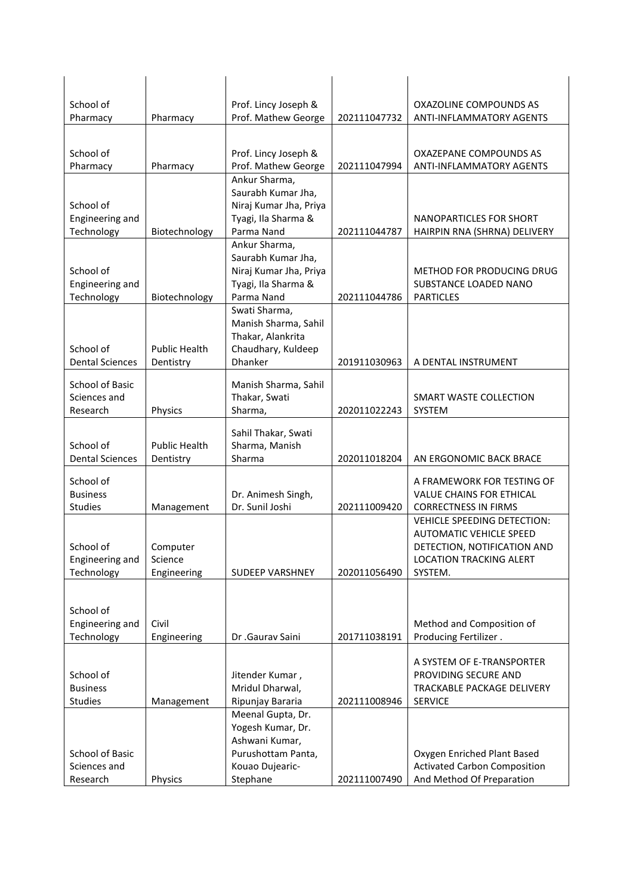| School of                     |                        | Prof. Lincy Joseph &                |              | OXAZOLINE COMPOUNDS AS                    |
|-------------------------------|------------------------|-------------------------------------|--------------|-------------------------------------------|
| Pharmacy                      | Pharmacy               | Prof. Mathew George                 | 202111047732 | <b>ANTI-INFLAMMATORY AGENTS</b>           |
|                               |                        |                                     |              |                                           |
| School of                     |                        | Prof. Lincy Joseph &                |              | OXAZEPANE COMPOUNDS AS                    |
| Pharmacy                      | Pharmacy               | Prof. Mathew George                 | 202111047994 | <b>ANTI-INFLAMMATORY AGENTS</b>           |
|                               |                        | Ankur Sharma,<br>Saurabh Kumar Jha, |              |                                           |
| School of                     |                        | Niraj Kumar Jha, Priya              |              |                                           |
| Engineering and               |                        | Tyagi, Ila Sharma &                 |              | NANOPARTICLES FOR SHORT                   |
| Technology                    | Biotechnology          | Parma Nand                          | 202111044787 | HAIRPIN RNA (SHRNA) DELIVERY              |
|                               |                        | Ankur Sharma,                       |              |                                           |
|                               |                        | Saurabh Kumar Jha,                  |              |                                           |
| School of                     |                        | Niraj Kumar Jha, Priya              |              | METHOD FOR PRODUCING DRUG                 |
| Engineering and<br>Technology | Biotechnology          | Tyagi, Ila Sharma &<br>Parma Nand   | 202111044786 | SUBSTANCE LOADED NANO<br><b>PARTICLES</b> |
|                               |                        | Swati Sharma,                       |              |                                           |
|                               |                        | Manish Sharma, Sahil                |              |                                           |
|                               |                        | Thakar, Alankrita                   |              |                                           |
| School of                     | <b>Public Health</b>   | Chaudhary, Kuldeep                  |              |                                           |
| <b>Dental Sciences</b>        | Dentistry              | <b>Dhanker</b>                      | 201911030963 | A DENTAL INSTRUMENT                       |
| School of Basic               |                        | Manish Sharma, Sahil                |              |                                           |
| Sciences and                  |                        | Thakar, Swati                       |              | SMART WASTE COLLECTION                    |
| Research                      | Physics                | Sharma,                             | 202011022243 | SYSTEM                                    |
|                               |                        | Sahil Thakar, Swati                 |              |                                           |
| School of                     | <b>Public Health</b>   | Sharma, Manish                      |              |                                           |
| <b>Dental Sciences</b>        | Dentistry              | Sharma                              | 202011018204 | AN ERGONOMIC BACK BRACE                   |
| School of                     |                        |                                     |              | A FRAMEWORK FOR TESTING OF                |
| <b>Business</b>               |                        | Dr. Animesh Singh,                  |              | <b>VALUE CHAINS FOR ETHICAL</b>           |
| <b>Studies</b>                | Management             | Dr. Sunil Joshi                     | 202111009420 | <b>CORRECTNESS IN FIRMS</b>               |
|                               |                        |                                     |              | VEHICLE SPEEDING DETECTION:               |
|                               |                        |                                     |              | <b>AUTOMATIC VEHICLE SPEED</b>            |
| School of                     | Computer               |                                     |              | DETECTION, NOTIFICATION AND               |
| Engineering and<br>Technology | Science<br>Engineering | <b>SUDEEP VARSHNEY</b>              | 202011056490 | <b>LOCATION TRACKING ALERT</b><br>SYSTEM. |
|                               |                        |                                     |              |                                           |
|                               |                        |                                     |              |                                           |
| School of                     |                        |                                     |              |                                           |
| Engineering and               | Civil                  |                                     |              | Method and Composition of                 |
| Technology                    | Engineering            | Dr .Gaurav Saini                    | 201711038191 | Producing Fertilizer.                     |
|                               |                        |                                     |              | A SYSTEM OF E-TRANSPORTER                 |
| School of                     |                        | Jitender Kumar,                     |              | PROVIDING SECURE AND                      |
| <b>Business</b>               |                        | Mridul Dharwal,                     |              | TRACKABLE PACKAGE DELIVERY                |
| <b>Studies</b>                | Management             | Ripunjay Bararia                    | 202111008946 | <b>SERVICE</b>                            |
|                               |                        | Meenal Gupta, Dr.                   |              |                                           |
|                               |                        | Yogesh Kumar, Dr.<br>Ashwani Kumar, |              |                                           |
| School of Basic               |                        | Purushottam Panta,                  |              | Oxygen Enriched Plant Based               |
| Sciences and                  |                        | Kouao Dujearic-                     |              | <b>Activated Carbon Composition</b>       |
| Research                      | Physics                | Stephane                            | 202111007490 | And Method Of Preparation                 |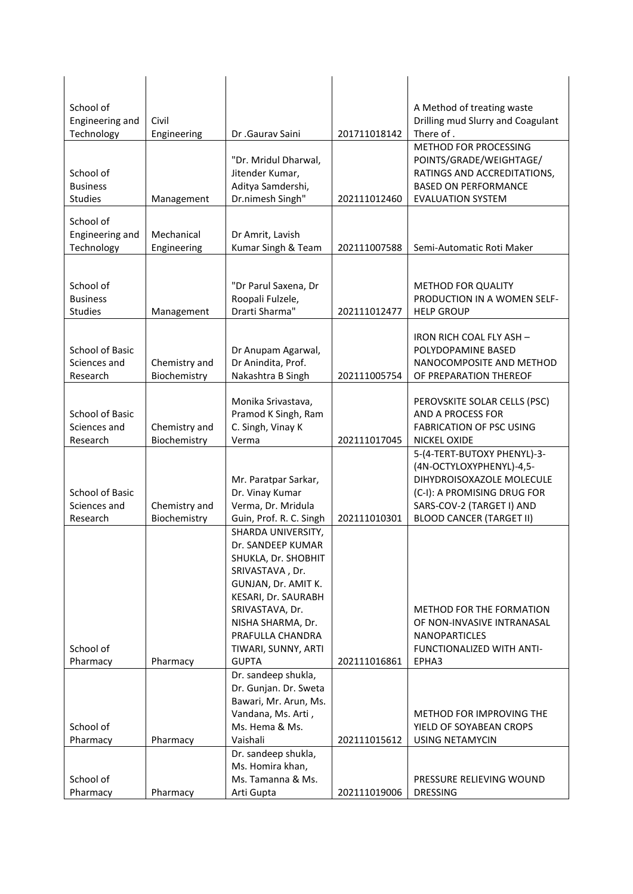| School of<br>Engineering and<br>Technology     | Civil<br>Engineering          | Dr .Gaurav Saini                                                                                                                                                                                                                   | 201711018142 | A Method of treating waste<br>Drilling mud Slurry and Coagulant<br>There of.                                                                                                        |
|------------------------------------------------|-------------------------------|------------------------------------------------------------------------------------------------------------------------------------------------------------------------------------------------------------------------------------|--------------|-------------------------------------------------------------------------------------------------------------------------------------------------------------------------------------|
| School of<br><b>Business</b><br><b>Studies</b> | Management                    | "Dr. Mridul Dharwal,<br>Jitender Kumar,<br>Aditya Samdershi,<br>Dr.nimesh Singh"                                                                                                                                                   | 202111012460 | METHOD FOR PROCESSING<br>POINTS/GRADE/WEIGHTAGE/<br>RATINGS AND ACCREDITATIONS,<br><b>BASED ON PERFORMANCE</b><br><b>EVALUATION SYSTEM</b>                                          |
| School of<br>Engineering and<br>Technology     | Mechanical<br>Engineering     | Dr Amrit, Lavish<br>Kumar Singh & Team                                                                                                                                                                                             | 202111007588 | Semi-Automatic Roti Maker                                                                                                                                                           |
| School of<br><b>Business</b><br><b>Studies</b> | Management                    | "Dr Parul Saxena, Dr<br>Roopali Fulzele,<br>Drarti Sharma"                                                                                                                                                                         | 202111012477 | <b>METHOD FOR QUALITY</b><br>PRODUCTION IN A WOMEN SELF-<br><b>HELP GROUP</b>                                                                                                       |
| School of Basic<br>Sciences and<br>Research    | Chemistry and<br>Biochemistry | Dr Anupam Agarwal,<br>Dr Anindita, Prof.<br>Nakashtra B Singh                                                                                                                                                                      | 202111005754 | IRON RICH COAL FLY ASH -<br>POLYDOPAMINE BASED<br>NANOCOMPOSITE AND METHOD<br>OF PREPARATION THEREOF                                                                                |
| School of Basic<br>Sciences and<br>Research    | Chemistry and<br>Biochemistry | Monika Srivastava,<br>Pramod K Singh, Ram<br>C. Singh, Vinay K<br>Verma                                                                                                                                                            | 202111017045 | PEROVSKITE SOLAR CELLS (PSC)<br>AND A PROCESS FOR<br><b>FABRICATION OF PSC USING</b><br>NICKEL OXIDE                                                                                |
| School of Basic<br>Sciences and<br>Research    | Chemistry and<br>Biochemistry | Mr. Paratpar Sarkar,<br>Dr. Vinay Kumar<br>Verma, Dr. Mridula<br>Guin, Prof. R. C. Singh                                                                                                                                           | 202111010301 | 5-(4-TERT-BUTOXY PHENYL)-3-<br>(4N-OCTYLOXYPHENYL)-4,5-<br>DIHYDROISOXAZOLE MOLECULE<br>(C-I): A PROMISING DRUG FOR<br>SARS-COV-2 (TARGET I) AND<br><b>BLOOD CANCER (TARGET II)</b> |
| School of<br>Pharmacy                          | Pharmacy                      | SHARDA UNIVERSITY,<br>Dr. SANDEEP KUMAR<br>SHUKLA, Dr. SHOBHIT<br>SRIVASTAVA, Dr.<br>GUNJAN, Dr. AMIT K.<br>KESARI, Dr. SAURABH<br>SRIVASTAVA, Dr.<br>NISHA SHARMA, Dr.<br>PRAFULLA CHANDRA<br>TIWARI, SUNNY, ARTI<br><b>GUPTA</b> | 202111016861 | METHOD FOR THE FORMATION<br>OF NON-INVASIVE INTRANASAL<br><b>NANOPARTICLES</b><br>FUNCTIONALIZED WITH ANTI-<br>EPHA3                                                                |
| School of<br>Pharmacy                          | Pharmacy                      | Dr. sandeep shukla,<br>Dr. Gunjan. Dr. Sweta<br>Bawari, Mr. Arun, Ms.<br>Vandana, Ms. Arti,<br>Ms. Hema & Ms.<br>Vaishali                                                                                                          | 202111015612 | METHOD FOR IMPROVING THE<br>YIELD OF SOYABEAN CROPS<br><b>USING NETAMYCIN</b>                                                                                                       |
| School of<br>Pharmacy                          | Pharmacy                      | Dr. sandeep shukla,<br>Ms. Homira khan,<br>Ms. Tamanna & Ms.<br>Arti Gupta                                                                                                                                                         | 202111019006 | PRESSURE RELIEVING WOUND<br><b>DRESSING</b>                                                                                                                                         |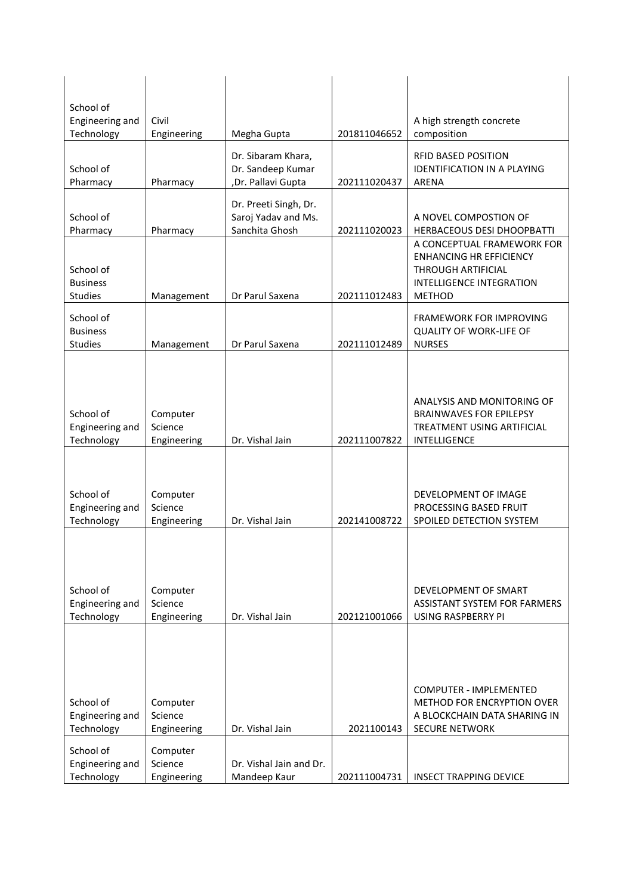| School of                     |                      |                                         |              |                                                             |
|-------------------------------|----------------------|-----------------------------------------|--------------|-------------------------------------------------------------|
| Engineering and<br>Technology | Civil<br>Engineering | Megha Gupta                             | 201811046652 | A high strength concrete<br>composition                     |
|                               |                      |                                         |              |                                                             |
|                               |                      | Dr. Sibaram Khara,                      |              | <b>RFID BASED POSITION</b>                                  |
| School of<br>Pharmacy         | Pharmacy             | Dr. Sandeep Kumar<br>,Dr. Pallavi Gupta | 202111020437 | <b>IDENTIFICATION IN A PLAYING</b><br>ARENA                 |
|                               |                      |                                         |              |                                                             |
|                               |                      | Dr. Preeti Singh, Dr.                   |              |                                                             |
| School of<br>Pharmacy         | Pharmacy             | Saroj Yadav and Ms.<br>Sanchita Ghosh   | 202111020023 | A NOVEL COMPOSTION OF<br>HERBACEOUS DESI DHOOPBATTI         |
|                               |                      |                                         |              | A CONCEPTUAL FRAMEWORK FOR                                  |
|                               |                      |                                         |              | <b>ENHANCING HR EFFICIENCY</b>                              |
| School of                     |                      |                                         |              | THROUGH ARTIFICIAL                                          |
| <b>Business</b>               |                      |                                         |              | INTELLIGENCE INTEGRATION                                    |
| <b>Studies</b>                | Management           | Dr Parul Saxena                         | 202111012483 | <b>METHOD</b>                                               |
| School of                     |                      |                                         |              | FRAMEWORK FOR IMPROVING                                     |
| <b>Business</b>               |                      |                                         |              | <b>QUALITY OF WORK-LIFE OF</b>                              |
| <b>Studies</b>                | Management           | Dr Parul Saxena                         | 202111012489 | <b>NURSES</b>                                               |
|                               |                      |                                         |              |                                                             |
|                               |                      |                                         |              |                                                             |
|                               |                      |                                         |              | ANALYSIS AND MONITORING OF                                  |
| School of                     | Computer             |                                         |              | <b>BRAINWAVES FOR EPILEPSY</b>                              |
| Engineering and               | Science              | Dr. Vishal Jain                         | 202111007822 | TREATMENT USING ARTIFICIAL<br>INTELLIGENCE                  |
| Technology                    | Engineering          |                                         |              |                                                             |
|                               |                      |                                         |              |                                                             |
|                               |                      |                                         |              |                                                             |
| School of<br>Engineering and  | Computer<br>Science  |                                         |              | DEVELOPMENT OF IMAGE<br>PROCESSING BASED FRUIT              |
| Technology                    | Engineering          | Dr. Vishal Jain                         | 202141008722 | SPOILED DETECTION SYSTEM                                    |
|                               |                      |                                         |              |                                                             |
|                               |                      |                                         |              |                                                             |
|                               |                      |                                         |              |                                                             |
|                               |                      |                                         |              |                                                             |
| School of<br>Engineering and  | Computer<br>Science  |                                         |              | DEVELOPMENT OF SMART<br>ASSISTANT SYSTEM FOR FARMERS        |
| Technology                    | Engineering          | Dr. Vishal Jain                         | 202121001066 | USING RASPBERRY PI                                          |
|                               |                      |                                         |              |                                                             |
|                               |                      |                                         |              |                                                             |
|                               |                      |                                         |              |                                                             |
|                               |                      |                                         |              |                                                             |
| School of                     | Computer             |                                         |              | <b>COMPUTER - IMPLEMENTED</b><br>METHOD FOR ENCRYPTION OVER |
| Engineering and               | Science              |                                         |              | A BLOCKCHAIN DATA SHARING IN                                |
| Technology                    | Engineering          | Dr. Vishal Jain                         | 2021100143   | <b>SECURE NETWORK</b>                                       |
| School of                     | Computer             |                                         |              |                                                             |
| Engineering and               | Science              | Dr. Vishal Jain and Dr.                 |              |                                                             |
| Technology                    | Engineering          | Mandeep Kaur                            | 202111004731 | <b>INSECT TRAPPING DEVICE</b>                               |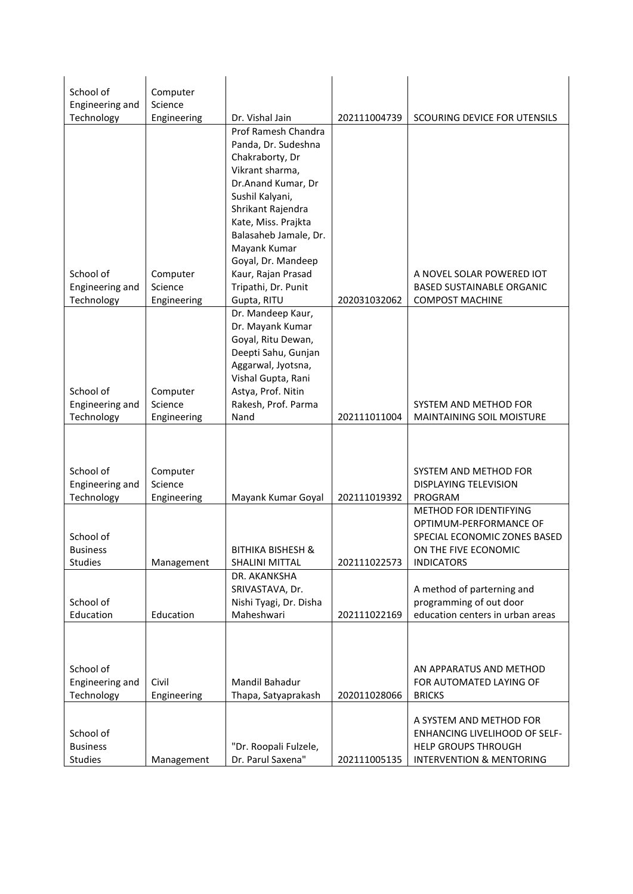| School of       | Computer    |                                           |              |                                                        |
|-----------------|-------------|-------------------------------------------|--------------|--------------------------------------------------------|
| Engineering and | Science     |                                           |              |                                                        |
| Technology      | Engineering | Dr. Vishal Jain<br>Prof Ramesh Chandra    | 202111004739 | SCOURING DEVICE FOR UTENSILS                           |
|                 |             | Panda, Dr. Sudeshna                       |              |                                                        |
|                 |             | Chakraborty, Dr                           |              |                                                        |
|                 |             | Vikrant sharma,                           |              |                                                        |
|                 |             | Dr.Anand Kumar, Dr                        |              |                                                        |
|                 |             | Sushil Kalyani,                           |              |                                                        |
|                 |             | Shrikant Rajendra                         |              |                                                        |
|                 |             | Kate, Miss. Prajkta                       |              |                                                        |
|                 |             | Balasaheb Jamale, Dr.<br>Mayank Kumar     |              |                                                        |
|                 |             | Goyal, Dr. Mandeep                        |              |                                                        |
| School of       | Computer    | Kaur, Rajan Prasad                        |              | A NOVEL SOLAR POWERED IOT                              |
| Engineering and | Science     | Tripathi, Dr. Punit                       |              | <b>BASED SUSTAINABLE ORGANIC</b>                       |
| Technology      | Engineering | Gupta, RITU                               | 202031032062 | <b>COMPOST MACHINE</b>                                 |
|                 |             | Dr. Mandeep Kaur,                         |              |                                                        |
|                 |             | Dr. Mayank Kumar                          |              |                                                        |
|                 |             | Goyal, Ritu Dewan,<br>Deepti Sahu, Gunjan |              |                                                        |
|                 |             | Aggarwal, Jyotsna,                        |              |                                                        |
|                 |             | Vishal Gupta, Rani                        |              |                                                        |
| School of       | Computer    | Astya, Prof. Nitin                        |              |                                                        |
| Engineering and | Science     | Rakesh, Prof. Parma                       |              | SYSTEM AND METHOD FOR                                  |
| Technology      | Engineering | Nand                                      | 202111011004 | <b>MAINTAINING SOIL MOISTURE</b>                       |
|                 |             |                                           |              |                                                        |
|                 |             |                                           |              |                                                        |
| School of       | Computer    |                                           |              | SYSTEM AND METHOD FOR                                  |
| Engineering and | Science     |                                           |              | DISPLAYING TELEVISION                                  |
| Technology      | Engineering | Mayank Kumar Goyal                        | 202111019392 | PROGRAM                                                |
|                 |             |                                           |              | <b>METHOD FOR IDENTIFYING</b>                          |
| School of       |             |                                           |              | OPTIMUM-PERFORMANCE OF<br>SPECIAL ECONOMIC ZONES BASED |
| <b>Business</b> |             | <b>BITHIKA BISHESH &amp;</b>              |              | ON THE FIVE ECONOMIC                                   |
| Studies         | Management  | <b>SHALINI MITTAL</b>                     | 202111022573 | <b>INDICATORS</b>                                      |
|                 |             | DR. AKANKSHA                              |              |                                                        |
|                 |             | SRIVASTAVA, Dr.                           |              | A method of parterning and                             |
| School of       |             | Nishi Tyagi, Dr. Disha                    |              | programming of out door                                |
| Education       | Education   | Maheshwari                                | 202111022169 | education centers in urban areas                       |
|                 |             |                                           |              |                                                        |
|                 |             |                                           |              |                                                        |
| School of       |             |                                           |              | AN APPARATUS AND METHOD                                |
| Engineering and | Civil       | Mandil Bahadur                            |              | FOR AUTOMATED LAYING OF                                |
| Technology      | Engineering | Thapa, Satyaprakash                       | 202011028066 | <b>BRICKS</b>                                          |
|                 |             |                                           |              | A SYSTEM AND METHOD FOR                                |
| School of       |             |                                           |              | <b>ENHANCING LIVELIHOOD OF SELF-</b>                   |
| <b>Business</b> |             | "Dr. Roopali Fulzele,                     |              | HELP GROUPS THROUGH                                    |
| Studies         | Management  | Dr. Parul Saxena"                         | 202111005135 | <b>INTERVENTION &amp; MENTORING</b>                    |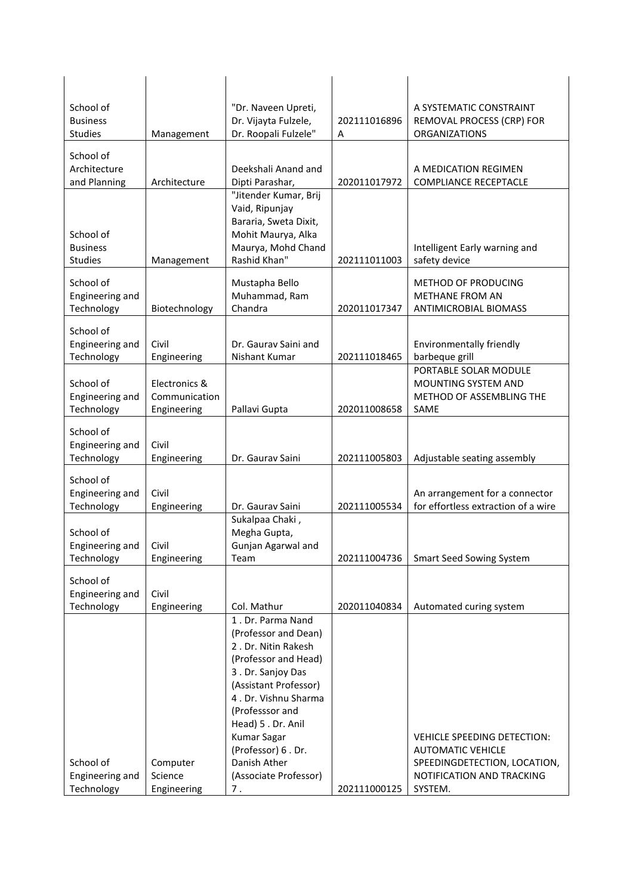| School of<br>Architecture<br>Deekshali Anand and<br>A MEDICATION REGIMEN<br>and Planning<br>Architecture<br>Dipti Parashar,<br>202011017972<br><b>COMPLIANCE RECEPTACLE</b><br>"Jitender Kumar, Brij<br>Vaid, Ripunjay<br>Bararia, Sweta Dixit,<br>School of<br>Mohit Maurya, Alka<br><b>Business</b><br>Maurya, Mohd Chand<br>Intelligent Early warning and<br>Rashid Khan"<br><b>Studies</b><br>202111011003<br>safety device<br>Management<br>School of<br>Mustapha Bello<br>METHOD OF PRODUCING<br>Muhammad, Ram<br>Engineering and<br>METHANE FROM AN<br>Chandra<br>Technology<br>Biotechnology<br>202011017347<br><b>ANTIMICROBIAL BIOMASS</b><br>School of<br>Engineering and<br>Civil<br>Dr. Gauray Saini and<br>Environmentally friendly<br>Nishant Kumar<br>barbeque grill<br>Technology<br>Engineering<br>202111018465<br>PORTABLE SOLAR MODULE<br>School of<br>Electronics &<br>MOUNTING SYSTEM AND<br>Engineering and<br>Communication<br>Technology<br>Pallavi Gupta<br>Engineering<br>202011008658<br>SAME<br>School of<br>Civil<br>Engineering and<br>Technology<br>202111005803<br>Adjustable seating assembly<br>Engineering<br>Dr. Gaurav Saini<br>School of<br>Engineering and<br>Civil<br>Technology<br>Dr. Gaurav Saini<br>202111005534<br>Engineering<br>Sukalpaa Chaki,<br>Megha Gupta,<br>School of<br>Engineering and<br>Gunjan Agarwal and<br>Civil<br>Technology<br>Team<br>202111004736<br><b>Smart Seed Sowing System</b><br>Engineering<br>School of<br>Engineering and<br>Civil<br>Technology<br>Engineering<br>Col. Mathur<br>Automated curing system<br>202011040834<br>1. Dr. Parma Nand<br>(Professor and Dean)<br>2. Dr. Nitin Rakesh<br>(Professor and Head)<br>3. Dr. Sanjoy Das<br>(Assistant Professor)<br>4. Dr. Vishnu Sharma<br>(Professsor and | School of<br><b>Business</b><br><b>Studies</b> | Management | "Dr. Naveen Upreti,<br>Dr. Vijayta Fulzele,<br>Dr. Roopali Fulzele" | 202111016896<br>A | A SYSTEMATIC CONSTRAINT<br>REMOVAL PROCESS (CRP) FOR<br>ORGANIZATIONS                    |
|---------------------------------------------------------------------------------------------------------------------------------------------------------------------------------------------------------------------------------------------------------------------------------------------------------------------------------------------------------------------------------------------------------------------------------------------------------------------------------------------------------------------------------------------------------------------------------------------------------------------------------------------------------------------------------------------------------------------------------------------------------------------------------------------------------------------------------------------------------------------------------------------------------------------------------------------------------------------------------------------------------------------------------------------------------------------------------------------------------------------------------------------------------------------------------------------------------------------------------------------------------------------------------------------------------------------------------------------------------------------------------------------------------------------------------------------------------------------------------------------------------------------------------------------------------------------------------------------------------------------------------------------------------------------------------------------------------------------------------------------------------------------------------------------|------------------------------------------------|------------|---------------------------------------------------------------------|-------------------|------------------------------------------------------------------------------------------|
|                                                                                                                                                                                                                                                                                                                                                                                                                                                                                                                                                                                                                                                                                                                                                                                                                                                                                                                                                                                                                                                                                                                                                                                                                                                                                                                                                                                                                                                                                                                                                                                                                                                                                                                                                                                             |                                                |            |                                                                     |                   |                                                                                          |
|                                                                                                                                                                                                                                                                                                                                                                                                                                                                                                                                                                                                                                                                                                                                                                                                                                                                                                                                                                                                                                                                                                                                                                                                                                                                                                                                                                                                                                                                                                                                                                                                                                                                                                                                                                                             |                                                |            |                                                                     |                   |                                                                                          |
|                                                                                                                                                                                                                                                                                                                                                                                                                                                                                                                                                                                                                                                                                                                                                                                                                                                                                                                                                                                                                                                                                                                                                                                                                                                                                                                                                                                                                                                                                                                                                                                                                                                                                                                                                                                             |                                                |            |                                                                     |                   |                                                                                          |
|                                                                                                                                                                                                                                                                                                                                                                                                                                                                                                                                                                                                                                                                                                                                                                                                                                                                                                                                                                                                                                                                                                                                                                                                                                                                                                                                                                                                                                                                                                                                                                                                                                                                                                                                                                                             |                                                |            |                                                                     |                   |                                                                                          |
|                                                                                                                                                                                                                                                                                                                                                                                                                                                                                                                                                                                                                                                                                                                                                                                                                                                                                                                                                                                                                                                                                                                                                                                                                                                                                                                                                                                                                                                                                                                                                                                                                                                                                                                                                                                             |                                                |            |                                                                     |                   | METHOD OF ASSEMBLING THE                                                                 |
|                                                                                                                                                                                                                                                                                                                                                                                                                                                                                                                                                                                                                                                                                                                                                                                                                                                                                                                                                                                                                                                                                                                                                                                                                                                                                                                                                                                                                                                                                                                                                                                                                                                                                                                                                                                             |                                                |            |                                                                     |                   |                                                                                          |
|                                                                                                                                                                                                                                                                                                                                                                                                                                                                                                                                                                                                                                                                                                                                                                                                                                                                                                                                                                                                                                                                                                                                                                                                                                                                                                                                                                                                                                                                                                                                                                                                                                                                                                                                                                                             |                                                |            |                                                                     |                   | An arrangement for a connector<br>for effortless extraction of a wire                    |
|                                                                                                                                                                                                                                                                                                                                                                                                                                                                                                                                                                                                                                                                                                                                                                                                                                                                                                                                                                                                                                                                                                                                                                                                                                                                                                                                                                                                                                                                                                                                                                                                                                                                                                                                                                                             |                                                |            |                                                                     |                   |                                                                                          |
|                                                                                                                                                                                                                                                                                                                                                                                                                                                                                                                                                                                                                                                                                                                                                                                                                                                                                                                                                                                                                                                                                                                                                                                                                                                                                                                                                                                                                                                                                                                                                                                                                                                                                                                                                                                             |                                                |            |                                                                     |                   |                                                                                          |
| <b>Kumar Sagar</b><br>(Professor) 6. Dr.<br><b>AUTOMATIC VEHICLE</b><br>School of<br>Danish Ather<br>Computer<br>Engineering and<br>Science<br>(Associate Professor)                                                                                                                                                                                                                                                                                                                                                                                                                                                                                                                                                                                                                                                                                                                                                                                                                                                                                                                                                                                                                                                                                                                                                                                                                                                                                                                                                                                                                                                                                                                                                                                                                        |                                                |            | Head) 5. Dr. Anil                                                   |                   | VEHICLE SPEEDING DETECTION:<br>SPEEDINGDETECTION, LOCATION,<br>NOTIFICATION AND TRACKING |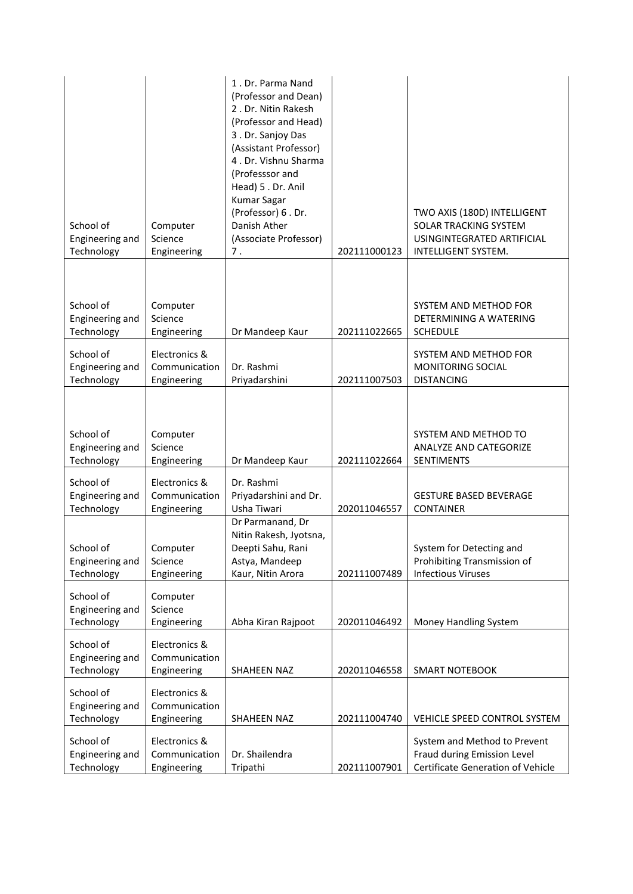| School of<br>Engineering and<br>Technology | Computer<br>Science<br>Engineering            | 1. Dr. Parma Nand<br>(Professor and Dean)<br>2. Dr. Nitin Rakesh<br>(Professor and Head)<br>3. Dr. Sanjoy Das<br>(Assistant Professor)<br>4. Dr. Vishnu Sharma<br>(Professsor and<br>Head) 5. Dr. Anil<br><b>Kumar Sagar</b><br>(Professor) 6. Dr.<br>Danish Ather<br>(Associate Professor)<br>7. | 202111000123 | TWO AXIS (180D) INTELLIGENT<br>SOLAR TRACKING SYSTEM<br>USINGINTEGRATED ARTIFICIAL<br>INTELLIGENT SYSTEM. |
|--------------------------------------------|-----------------------------------------------|---------------------------------------------------------------------------------------------------------------------------------------------------------------------------------------------------------------------------------------------------------------------------------------------------|--------------|-----------------------------------------------------------------------------------------------------------|
|                                            |                                               |                                                                                                                                                                                                                                                                                                   |              |                                                                                                           |
| School of<br>Engineering and<br>Technology | Computer<br>Science<br>Engineering            | Dr Mandeep Kaur                                                                                                                                                                                                                                                                                   | 202111022665 | SYSTEM AND METHOD FOR<br>DETERMINING A WATERING<br><b>SCHEDULE</b>                                        |
| School of<br>Engineering and<br>Technology | Electronics &<br>Communication<br>Engineering | Dr. Rashmi<br>Priyadarshini                                                                                                                                                                                                                                                                       | 202111007503 | SYSTEM AND METHOD FOR<br>MONITORING SOCIAL<br><b>DISTANCING</b>                                           |
| School of<br>Engineering and<br>Technology | Computer<br>Science<br>Engineering            | Dr Mandeep Kaur                                                                                                                                                                                                                                                                                   | 202111022664 | SYSTEM AND METHOD TO<br>ANALYZE AND CATEGORIZE<br><b>SENTIMENTS</b>                                       |
| School of<br>Engineering and<br>Technology | Electronics &<br>Communication<br>Engineering | Dr. Rashmi<br>Priyadarshini and Dr.<br>Usha Tiwari                                                                                                                                                                                                                                                | 202011046557 | <b>GESTURE BASED BEVERAGE</b><br><b>CONTAINER</b>                                                         |
| School of<br>Engineering and<br>Technology | Computer<br>Science<br>Engineering            | Dr Parmanand, Dr<br>Nitin Rakesh, Jyotsna,<br>Deepti Sahu, Rani<br>Astya, Mandeep<br>Kaur, Nitin Arora                                                                                                                                                                                            | 202111007489 | System for Detecting and<br>Prohibiting Transmission of<br><b>Infectious Viruses</b>                      |
| School of<br>Engineering and<br>Technology | Computer<br>Science<br>Engineering            | Abha Kiran Rajpoot                                                                                                                                                                                                                                                                                | 202011046492 | Money Handling System                                                                                     |
| School of<br>Engineering and<br>Technology | Electronics &<br>Communication<br>Engineering | SHAHEEN NAZ                                                                                                                                                                                                                                                                                       | 202011046558 | <b>SMART NOTEBOOK</b>                                                                                     |
| School of<br>Engineering and<br>Technology | Electronics &<br>Communication<br>Engineering | SHAHEEN NAZ                                                                                                                                                                                                                                                                                       | 202111004740 | VEHICLE SPEED CONTROL SYSTEM                                                                              |
| School of<br>Engineering and<br>Technology | Electronics &<br>Communication<br>Engineering | Dr. Shailendra<br>Tripathi                                                                                                                                                                                                                                                                        | 202111007901 | System and Method to Prevent<br>Fraud during Emission Level<br>Certificate Generation of Vehicle          |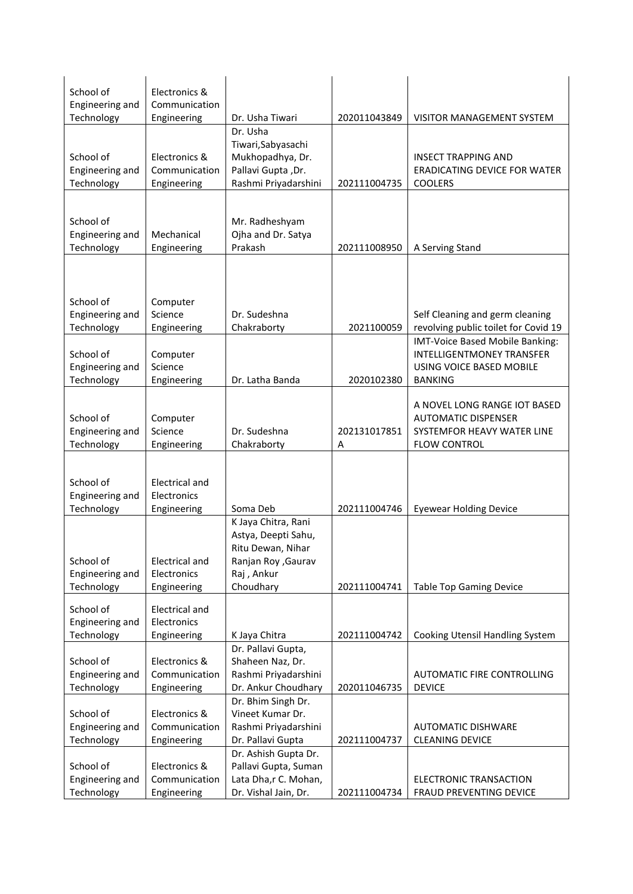| School of<br>Engineering and               | Electronics &<br>Communication                |                                                                                                                   |                   |                                                                                                                   |
|--------------------------------------------|-----------------------------------------------|-------------------------------------------------------------------------------------------------------------------|-------------------|-------------------------------------------------------------------------------------------------------------------|
| Technology                                 | Engineering                                   | Dr. Usha Tiwari                                                                                                   | 202011043849      | <b>VISITOR MANAGEMENT SYSTEM</b>                                                                                  |
| School of<br>Engineering and<br>Technology | Electronics &<br>Communication<br>Engineering | Dr. Usha<br>Tiwari, Sabyasachi<br>Mukhopadhya, Dr.<br>Pallavi Gupta, Dr.<br>Rashmi Priyadarshini                  | 202111004735      | <b>INSECT TRAPPING AND</b><br><b>ERADICATING DEVICE FOR WATER</b><br><b>COOLERS</b>                               |
|                                            |                                               |                                                                                                                   |                   |                                                                                                                   |
| School of<br>Engineering and<br>Technology | Mechanical<br>Engineering                     | Mr. Radheshyam<br>Ojha and Dr. Satya<br>Prakash                                                                   | 202111008950      | A Serving Stand                                                                                                   |
| School of                                  | Computer                                      |                                                                                                                   |                   |                                                                                                                   |
| Engineering and                            | Science                                       | Dr. Sudeshna                                                                                                      |                   | Self Cleaning and germ cleaning                                                                                   |
| Technology                                 | Engineering                                   | Chakraborty                                                                                                       | 2021100059        | revolving public toilet for Covid 19                                                                              |
| School of<br>Engineering and<br>Technology | Computer<br>Science<br>Engineering            | Dr. Latha Banda                                                                                                   | 2020102380        | IMT-Voice Based Mobile Banking:<br><b>INTELLIGENTMONEY TRANSFER</b><br>USING VOICE BASED MOBILE<br><b>BANKING</b> |
|                                            |                                               |                                                                                                                   |                   |                                                                                                                   |
| School of<br>Engineering and<br>Technology | Computer<br>Science<br>Engineering            | Dr. Sudeshna<br>Chakraborty                                                                                       | 202131017851<br>Α | A NOVEL LONG RANGE IOT BASED<br><b>AUTOMATIC DISPENSER</b><br>SYSTEMFOR HEAVY WATER LINE<br><b>FLOW CONTROL</b>   |
|                                            |                                               |                                                                                                                   |                   |                                                                                                                   |
| School of<br>Engineering and               | <b>Electrical and</b><br>Electronics          |                                                                                                                   |                   |                                                                                                                   |
| Technology                                 | Engineering                                   | Soma Deb                                                                                                          | 202111004746      | <b>Eyewear Holding Device</b>                                                                                     |
| School of<br>Engineering and<br>Technology | Electrical and<br>Electronics<br>Engineering  | K Jaya Chitra, Rani<br>Astya, Deepti Sahu,<br>Ritu Dewan, Nihar<br>Ranjan Roy , Gaurav<br>Raj, Ankur<br>Choudhary | 202111004741      | <b>Table Top Gaming Device</b>                                                                                    |
| School of<br>Engineering and<br>Technology | Electrical and<br>Electronics<br>Engineering  | K Jaya Chitra                                                                                                     | 202111004742      | Cooking Utensil Handling System                                                                                   |
| School of<br>Engineering and<br>Technology | Electronics &<br>Communication<br>Engineering | Dr. Pallavi Gupta,<br>Shaheen Naz, Dr.<br>Rashmi Priyadarshini<br>Dr. Ankur Choudhary                             | 202011046735      | AUTOMATIC FIRE CONTROLLING<br><b>DEVICE</b>                                                                       |
| School of<br>Engineering and<br>Technology | Electronics &<br>Communication<br>Engineering | Dr. Bhim Singh Dr.<br>Vineet Kumar Dr.<br>Rashmi Priyadarshini<br>Dr. Pallavi Gupta                               | 202111004737      | <b>AUTOMATIC DISHWARE</b><br><b>CLEANING DEVICE</b>                                                               |
| School of<br>Engineering and<br>Technology | Electronics &<br>Communication<br>Engineering | Dr. Ashish Gupta Dr.<br>Pallavi Gupta, Suman<br>Lata Dha,r C. Mohan,<br>Dr. Vishal Jain, Dr.                      | 202111004734      | ELECTRONIC TRANSACTION<br>FRAUD PREVENTING DEVICE                                                                 |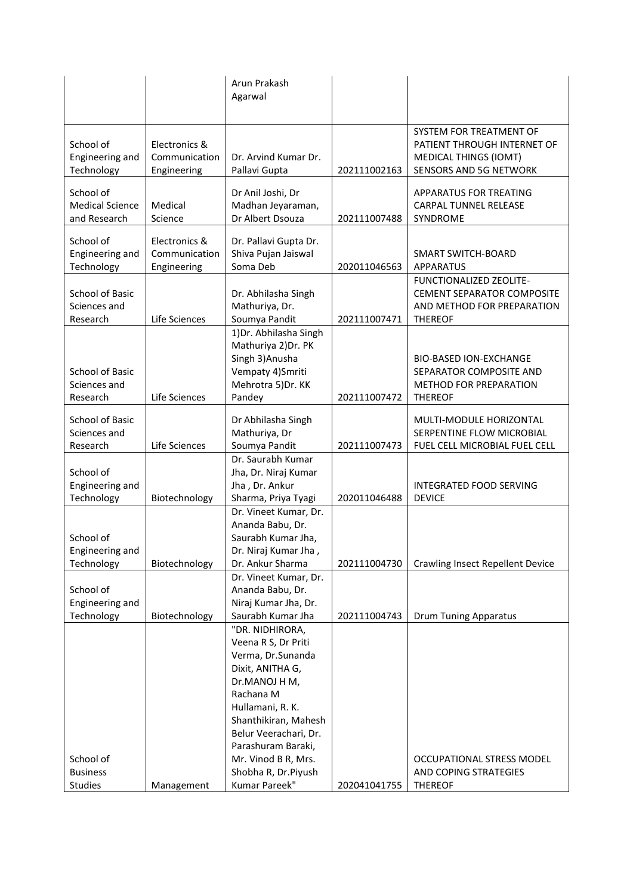|                        |               | Arun Prakash<br>Agarwal                       |              |                                             |
|------------------------|---------------|-----------------------------------------------|--------------|---------------------------------------------|
|                        |               |                                               |              |                                             |
|                        |               |                                               |              | SYSTEM FOR TREATMENT OF                     |
| School of              | Electronics & |                                               |              | PATIENT THROUGH INTERNET OF                 |
| Engineering and        | Communication | Dr. Arvind Kumar Dr.                          |              | <b>MEDICAL THINGS (IOMT)</b>                |
| Technology             | Engineering   | Pallavi Gupta                                 | 202111002163 | <b>SENSORS AND 5G NETWORK</b>               |
| School of              |               | Dr Anil Joshi, Dr                             |              | <b>APPARATUS FOR TREATING</b>               |
| <b>Medical Science</b> | Medical       | Madhan Jeyaraman,                             |              | CARPAL TUNNEL RELEASE                       |
| and Research           | Science       | Dr Albert Dsouza                              | 202111007488 | SYNDROME                                    |
|                        |               |                                               |              |                                             |
| School of              | Electronics & | Dr. Pallavi Gupta Dr.                         |              |                                             |
| Engineering and        | Communication | Shiva Pujan Jaiswal                           |              | SMART SWITCH-BOARD                          |
| Technology             | Engineering   | Soma Deb                                      | 202011046563 | <b>APPARATUS</b><br>FUNCTIONALIZED ZEOLITE- |
| School of Basic        |               | Dr. Abhilasha Singh                           |              | <b>CEMENT SEPARATOR COMPOSITE</b>           |
| Sciences and           |               | Mathuriya, Dr.                                |              | AND METHOD FOR PREPARATION                  |
| Research               | Life Sciences | Soumya Pandit                                 | 202111007471 | <b>THEREOF</b>                              |
|                        |               | 1) Dr. Abhilasha Singh                        |              |                                             |
|                        |               | Mathuriya 2) Dr. PK                           |              |                                             |
|                        |               | Singh 3) Anusha                               |              | <b>BIO-BASED ION-EXCHANGE</b>               |
| <b>School of Basic</b> |               | Vempaty 4) Smriti                             |              | SEPARATOR COMPOSITE AND                     |
| Sciences and           |               | Mehrotra 5)Dr. KK                             |              | METHOD FOR PREPARATION                      |
| Research               | Life Sciences | Pandey                                        | 202111007472 | <b>THEREOF</b>                              |
|                        |               |                                               |              |                                             |
| <b>School of Basic</b> |               | Dr Abhilasha Singh                            |              | MULTI-MODULE HORIZONTAL                     |
| Sciences and           |               | Mathuriya, Dr                                 |              | SERPENTINE FLOW MICROBIAL                   |
| Research               | Life Sciences | Soumya Pandit<br>Dr. Saurabh Kumar            | 202111007473 | FUEL CELL MICROBIAL FUEL CELL               |
| School of              |               | Jha, Dr. Niraj Kumar                          |              |                                             |
| Engineering and        |               | Jha, Dr. Ankur                                |              | <b>INTEGRATED FOOD SERVING</b>              |
| Technology             | Biotechnology | Sharma, Priya Tyagi                           | 202011046488 | <b>DEVICE</b>                               |
|                        |               | Dr. Vineet Kumar, Dr.                         |              |                                             |
|                        |               | Ananda Babu, Dr.                              |              |                                             |
| School of              |               | Saurabh Kumar Jha,                            |              |                                             |
| Engineering and        |               | Dr. Niraj Kumar Jha,                          |              |                                             |
| Technology             | Biotechnology | Dr. Ankur Sharma                              | 202111004730 | <b>Crawling Insect Repellent Device</b>     |
|                        |               | Dr. Vineet Kumar, Dr.                         |              |                                             |
| School of              |               | Ananda Babu, Dr.                              |              |                                             |
| Engineering and        |               | Niraj Kumar Jha, Dr.                          |              |                                             |
| Technology             | Biotechnology | Saurabh Kumar Jha                             | 202111004743 | <b>Drum Tuning Apparatus</b>                |
|                        |               | "DR. NIDHIRORA,                               |              |                                             |
|                        |               | Veena R S, Dr Priti                           |              |                                             |
|                        |               | Verma, Dr.Sunanda                             |              |                                             |
|                        |               | Dixit, ANITHA G,                              |              |                                             |
|                        |               | Dr.MANOJ H M,                                 |              |                                             |
|                        |               | Rachana M                                     |              |                                             |
|                        |               | Hullamani, R. K.                              |              |                                             |
|                        |               | Shanthikiran, Mahesh<br>Belur Veerachari, Dr. |              |                                             |
|                        |               | Parashuram Baraki,                            |              |                                             |
| School of              |               | Mr. Vinod B R, Mrs.                           |              | OCCUPATIONAL STRESS MODEL                   |
| <b>Business</b>        |               | Shobha R, Dr.Piyush                           |              | AND COPING STRATEGIES                       |
| Studies                | Management    | Kumar Pareek"                                 | 202041041755 | <b>THEREOF</b>                              |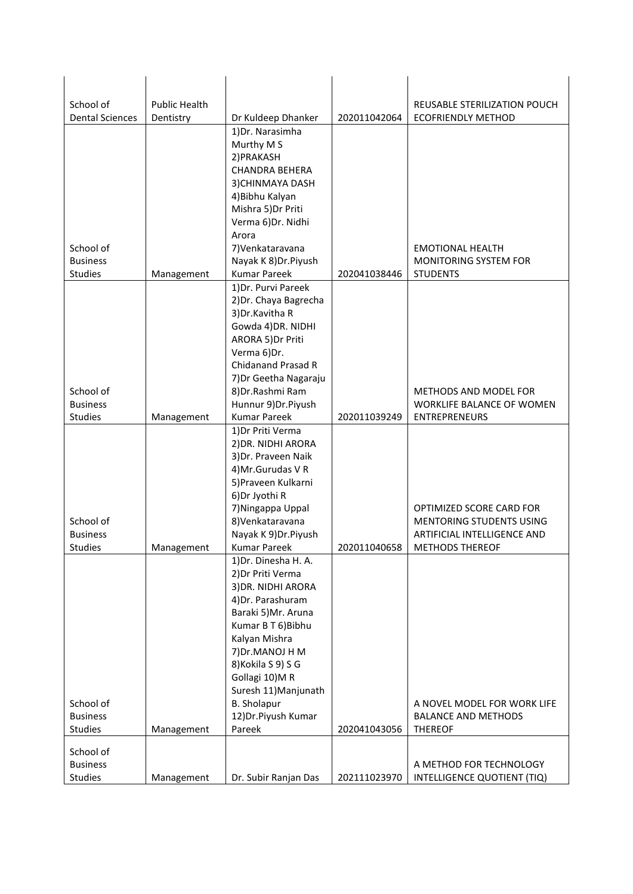| School of              | <b>Public Health</b> |                                         |              |                                                           |
|------------------------|----------------------|-----------------------------------------|--------------|-----------------------------------------------------------|
| <b>Dental Sciences</b> | Dentistry            | Dr Kuldeep Dhanker                      | 202011042064 | REUSABLE STERILIZATION POUCH<br><b>ECOFRIENDLY METHOD</b> |
|                        |                      | 1) Dr. Narasimha                        |              |                                                           |
|                        |                      | Murthy M S                              |              |                                                           |
|                        |                      | 2) PRAKASH                              |              |                                                           |
|                        |                      | <b>CHANDRA BEHERA</b>                   |              |                                                           |
|                        |                      | 3) CHINMAYA DASH                        |              |                                                           |
|                        |                      | 4) Bibhu Kalyan                         |              |                                                           |
|                        |                      | Mishra 5) Dr Priti                      |              |                                                           |
|                        |                      | Verma 6) Dr. Nidhi                      |              |                                                           |
|                        |                      | Arora                                   |              |                                                           |
| School of              |                      | 7) Venkataravana                        |              | <b>EMOTIONAL HEALTH</b>                                   |
| <b>Business</b>        |                      | Nayak K 8) Dr. Piyush                   |              | <b>MONITORING SYSTEM FOR</b>                              |
| <b>Studies</b>         | Management           | <b>Kumar Pareek</b>                     | 202041038446 | <b>STUDENTS</b>                                           |
|                        |                      | 1) Dr. Purvi Pareek                     |              |                                                           |
|                        |                      | 2) Dr. Chaya Bagrecha                   |              |                                                           |
|                        |                      | 3) Dr. Kavitha R                        |              |                                                           |
|                        |                      | Gowda 4) DR. NIDHI<br>ARORA 5) Dr Priti |              |                                                           |
|                        |                      | Verma 6) Dr.                            |              |                                                           |
|                        |                      | Chidanand Prasad R                      |              |                                                           |
|                        |                      | 7) Dr Geetha Nagaraju                   |              |                                                           |
| School of              |                      | 8) Dr. Rashmi Ram                       |              | <b>METHODS AND MODEL FOR</b>                              |
| <b>Business</b>        |                      | Hunnur 9) Dr. Piyush                    |              | WORKLIFE BALANCE OF WOMEN                                 |
| Studies                | Management           | <b>Kumar Pareek</b>                     | 202011039249 | <b>ENTREPRENEURS</b>                                      |
|                        |                      | 1) Dr Priti Verma                       |              |                                                           |
|                        |                      | 2) DR. NIDHI ARORA                      |              |                                                           |
|                        |                      | 3) Dr. Praveen Naik                     |              |                                                           |
|                        |                      | 4) Mr. Gurudas V R                      |              |                                                           |
|                        |                      | 5) Praveen Kulkarni<br>6) Dr Jyothi R   |              |                                                           |
|                        |                      | 7) Ningappa Uppal                       |              | OPTIMIZED SCORE CARD FOR                                  |
| School of              |                      | 8) Venkataravana                        |              | <b>MENTORING STUDENTS USING</b>                           |
| <b>Business</b>        |                      | Nayak K 9) Dr. Piyush                   |              | ARTIFICIAL INTELLIGENCE AND                               |
| <b>Studies</b>         | Management           | Kumar Pareek                            | 202011040658 | <b>METHODS THEREOF</b>                                    |
|                        |                      | 1) Dr. Dinesha H. A.                    |              |                                                           |
|                        |                      | 2) Dr Priti Verma                       |              |                                                           |
|                        |                      | 3) DR. NIDHI ARORA                      |              |                                                           |
|                        |                      | 4) Dr. Parashuram                       |              |                                                           |
|                        |                      | Baraki 5)Mr. Aruna                      |              |                                                           |
|                        |                      | Kumar B T 6) Bibhu                      |              |                                                           |
|                        |                      | Kalyan Mishra                           |              |                                                           |
|                        |                      | 7) Dr. MANOJ H M                        |              |                                                           |
|                        |                      | 8) Kokila S 9) S G<br>Gollagi 10)MR     |              |                                                           |
|                        |                      | Suresh 11) Manjunath                    |              |                                                           |
| School of              |                      | <b>B.</b> Sholapur                      |              | A NOVEL MODEL FOR WORK LIFE                               |
| <b>Business</b>        |                      | 12) Dr. Piyush Kumar                    |              | <b>BALANCE AND METHODS</b>                                |
| Studies                | Management           | Pareek                                  | 202041043056 | <b>THEREOF</b>                                            |
|                        |                      |                                         |              |                                                           |
| School of              |                      |                                         |              |                                                           |
| <b>Business</b>        |                      |                                         |              | A METHOD FOR TECHNOLOGY                                   |
| Studies                | Management           | Dr. Subir Ranjan Das                    | 202111023970 | INTELLIGENCE QUOTIENT (TIQ)                               |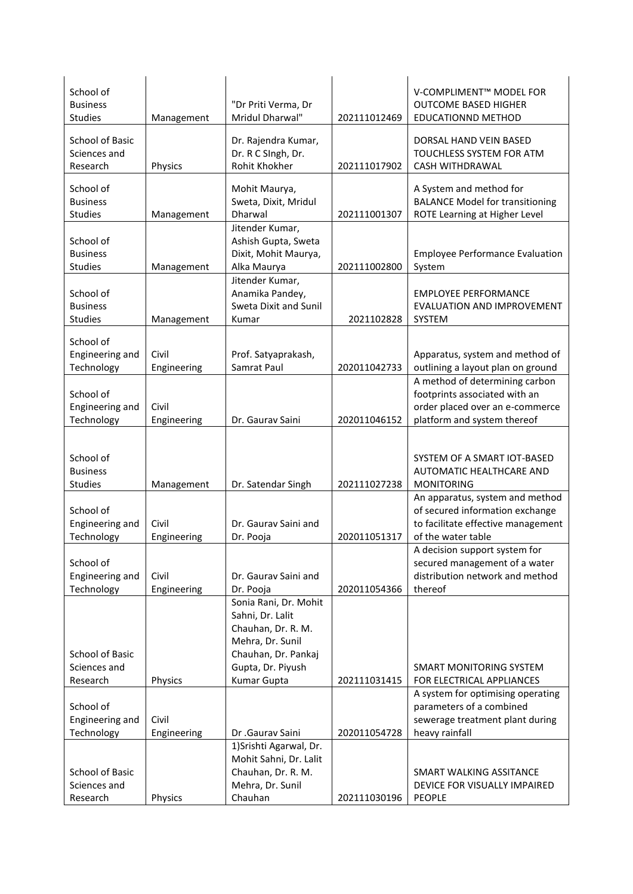| School of<br><b>Business</b><br><b>Studies</b>     | Management           | "Dr Priti Verma, Dr<br>Mridul Dharwal"                                                                                          | 202111012469 | V-COMPLIMENT™ MODEL FOR<br><b>OUTCOME BASED HIGHER</b><br><b>EDUCATIONND METHOD</b>                                               |
|----------------------------------------------------|----------------------|---------------------------------------------------------------------------------------------------------------------------------|--------------|-----------------------------------------------------------------------------------------------------------------------------------|
| <b>School of Basic</b><br>Sciences and<br>Research | Physics              | Dr. Rajendra Kumar,<br>Dr. R C SIngh, Dr.<br>Rohit Khokher                                                                      | 202111017902 | DORSAL HAND VEIN BASED<br>TOUCHLESS SYSTEM FOR ATM<br>CASH WITHDRAWAL                                                             |
| School of<br><b>Business</b><br><b>Studies</b>     | Management           | Mohit Maurya,<br>Sweta, Dixit, Mridul<br>Dharwal                                                                                | 202111001307 | A System and method for<br><b>BALANCE Model for transitioning</b><br>ROTE Learning at Higher Level                                |
| School of<br><b>Business</b><br>Studies            | Management           | Jitender Kumar,<br>Ashish Gupta, Sweta<br>Dixit, Mohit Maurya,<br>Alka Maurya                                                   | 202111002800 | <b>Employee Performance Evaluation</b><br>System                                                                                  |
| School of<br><b>Business</b><br><b>Studies</b>     | Management           | Jitender Kumar,<br>Anamika Pandey,<br>Sweta Dixit and Sunil<br>Kumar                                                            | 2021102828   | <b>EMPLOYEE PERFORMANCE</b><br>EVALUATION AND IMPROVEMENT<br>SYSTEM                                                               |
| School of<br>Engineering and<br>Technology         | Civil<br>Engineering | Prof. Satyaprakash,<br>Samrat Paul                                                                                              | 202011042733 | Apparatus, system and method of<br>outlining a layout plan on ground                                                              |
| School of<br>Engineering and<br>Technology         | Civil<br>Engineering | Dr. Gaurav Saini                                                                                                                | 202011046152 | A method of determining carbon<br>footprints associated with an<br>order placed over an e-commerce<br>platform and system thereof |
| School of<br><b>Business</b><br><b>Studies</b>     | Management           | Dr. Satendar Singh                                                                                                              | 202111027238 | SYSTEM OF A SMART IOT-BASED<br>AUTOMATIC HEALTHCARE AND<br><b>MONITORING</b>                                                      |
| School of<br>Engineering and<br>Technology         | Civil<br>Engineering | Dr. Gauray Saini and<br>Dr. Pooja                                                                                               | 202011051317 | An apparatus, system and method<br>of secured information exchange<br>to facilitate effective management<br>of the water table    |
| School of<br>Engineering and<br>Technology         | Civil<br>Engineering | Dr. Gaurav Saini and<br>Dr. Pooja                                                                                               | 202011054366 | A decision support system for<br>secured management of a water<br>distribution network and method<br>thereof                      |
| School of Basic<br>Sciences and                    |                      | Sonia Rani, Dr. Mohit<br>Sahni, Dr. Lalit<br>Chauhan, Dr. R. M.<br>Mehra, Dr. Sunil<br>Chauhan, Dr. Pankaj<br>Gupta, Dr. Piyush |              | SMART MONITORING SYSTEM                                                                                                           |
| Research                                           | Physics              | Kumar Gupta                                                                                                                     | 202111031415 | FOR ELECTRICAL APPLIANCES                                                                                                         |
| School of<br>Engineering and<br>Technology         | Civil<br>Engineering | Dr .Gaurav Saini                                                                                                                | 202011054728 | A system for optimising operating<br>parameters of a combined<br>sewerage treatment plant during<br>heavy rainfall                |
| School of Basic<br>Sciences and<br>Research        | Physics              | 1) Srishti Agarwal, Dr.<br>Mohit Sahni, Dr. Lalit<br>Chauhan, Dr. R. M.<br>Mehra, Dr. Sunil<br>Chauhan                          | 202111030196 | SMART WALKING ASSITANCE<br>DEVICE FOR VISUALLY IMPAIRED<br><b>PEOPLE</b>                                                          |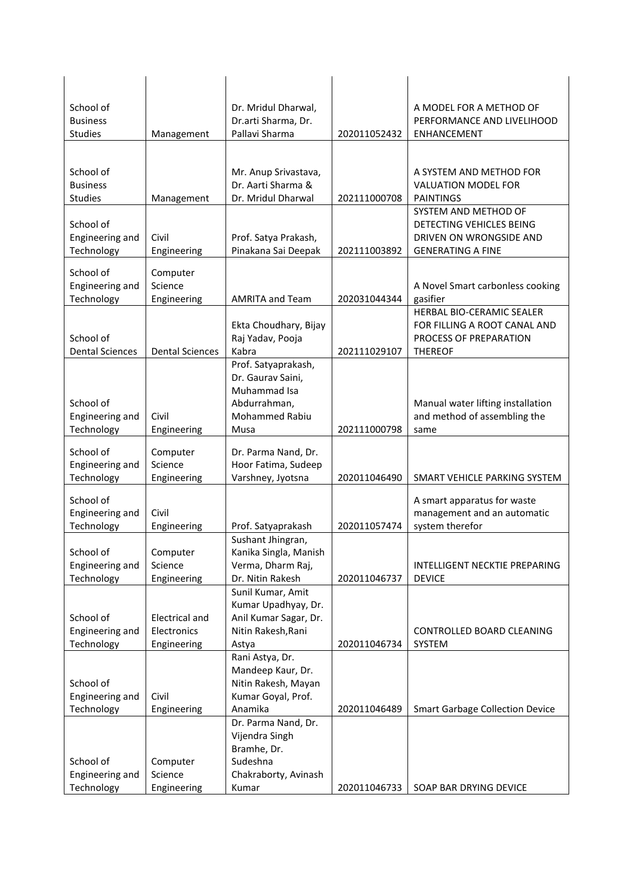| School of                           |                        | Dr. Mridul Dharwal,                        |              | A MODEL FOR A METHOD OF                  |
|-------------------------------------|------------------------|--------------------------------------------|--------------|------------------------------------------|
| <b>Business</b>                     |                        | Dr.arti Sharma, Dr.                        |              | PERFORMANCE AND LIVELIHOOD               |
| <b>Studies</b>                      | Management             | Pallavi Sharma                             | 202011052432 | <b>ENHANCEMENT</b>                       |
|                                     |                        |                                            |              |                                          |
| School of                           |                        | Mr. Anup Srivastava,                       |              | A SYSTEM AND METHOD FOR                  |
| <b>Business</b>                     |                        | Dr. Aarti Sharma &                         |              | <b>VALUATION MODEL FOR</b>               |
| <b>Studies</b>                      | Management             | Dr. Mridul Dharwal                         | 202111000708 | <b>PAINTINGS</b><br>SYSTEM AND METHOD OF |
| School of                           |                        |                                            |              | DETECTING VEHICLES BEING                 |
| Engineering and                     | Civil                  | Prof. Satya Prakash,                       |              | DRIVEN ON WRONGSIDE AND                  |
| Technology                          | Engineering            | Pinakana Sai Deepak                        | 202111003892 | <b>GENERATING A FINE</b>                 |
| School of                           | Computer               |                                            |              |                                          |
| Engineering and                     | Science                |                                            |              | A Novel Smart carbonless cooking         |
| Technology                          | Engineering            | <b>AMRITA and Team</b>                     | 202031044344 | gasifier                                 |
|                                     |                        |                                            |              | HERBAL BIO-CERAMIC SEALER                |
|                                     |                        | Ekta Choudhary, Bijay                      |              | FOR FILLING A ROOT CANAL AND             |
| School of<br><b>Dental Sciences</b> | <b>Dental Sciences</b> | Raj Yadav, Pooja<br>Kabra                  | 202111029107 | PROCESS OF PREPARATION<br><b>THEREOF</b> |
|                                     |                        | Prof. Satyaprakash,                        |              |                                          |
|                                     |                        | Dr. Gaurav Saini,                          |              |                                          |
|                                     |                        | Muhammad Isa                               |              |                                          |
| School of                           |                        | Abdurrahman,                               |              | Manual water lifting installation        |
| Engineering and                     | Civil                  | <b>Mohammed Rabiu</b>                      |              | and method of assembling the             |
| Technology                          | Engineering            | Musa                                       | 202111000798 | same                                     |
| School of                           | Computer               | Dr. Parma Nand, Dr.                        |              |                                          |
| Engineering and                     | Science                | Hoor Fatima, Sudeep                        |              |                                          |
| Technology                          | Engineering            | Varshney, Jyotsna                          | 202011046490 | SMART VEHICLE PARKING SYSTEM             |
| School of                           |                        |                                            |              | A smart apparatus for waste              |
| Engineering and                     | Civil                  |                                            |              | management and an automatic              |
| Technology                          | Engineering            | Prof. Satyaprakash                         | 202011057474 | system therefor                          |
|                                     |                        | Sushant Jhingran,                          |              |                                          |
| School of<br>Engineering and        | Computer<br>Science    | Kanika Singla, Manish<br>Verma, Dharm Raj, |              | INTELLIGENT NECKTIE PREPARING            |
| Technology                          | Engineering            | Dr. Nitin Rakesh                           | 202011046737 | <b>DEVICE</b>                            |
|                                     |                        | Sunil Kumar, Amit                          |              |                                          |
|                                     |                        | Kumar Upadhyay, Dr.                        |              |                                          |
| School of                           | <b>Electrical and</b>  | Anil Kumar Sagar, Dr.                      |              |                                          |
| Engineering and                     | Electronics            | Nitin Rakesh, Rani                         |              | CONTROLLED BOARD CLEANING                |
| Technology                          | Engineering            | Astya                                      | 202011046734 | SYSTEM                                   |
|                                     |                        | Rani Astya, Dr.<br>Mandeep Kaur, Dr.       |              |                                          |
| School of                           |                        | Nitin Rakesh, Mayan                        |              |                                          |
| Engineering and                     | Civil                  | Kumar Goyal, Prof.                         |              |                                          |
| Technology                          | Engineering            | Anamika                                    | 202011046489 | <b>Smart Garbage Collection Device</b>   |
|                                     |                        | Dr. Parma Nand, Dr.                        |              |                                          |
|                                     |                        | Vijendra Singh                             |              |                                          |
|                                     |                        | Bramhe, Dr.                                |              |                                          |
| School of                           | Computer               | Sudeshna                                   |              |                                          |
| Technology                          | Engineering            |                                            |              |                                          |
| Engineering and                     | Science                | Chakraborty, Avinash<br>Kumar              | 202011046733 | SOAP BAR DRYING DEVICE                   |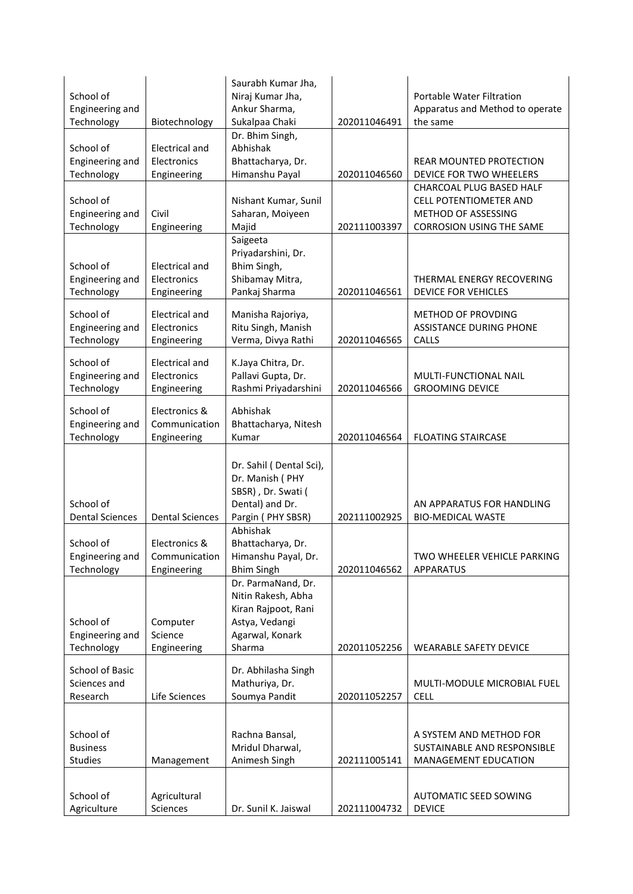| School of                     |                               | Saurabh Kumar Jha,<br>Niraj Kumar Jha,    |              | <b>Portable Water Filtration</b>                            |
|-------------------------------|-------------------------------|-------------------------------------------|--------------|-------------------------------------------------------------|
| Engineering and               |                               | Ankur Sharma,                             |              | Apparatus and Method to operate                             |
| Technology                    | Biotechnology                 | Sukalpaa Chaki                            | 202011046491 | the same                                                    |
|                               |                               | Dr. Bhim Singh,                           |              |                                                             |
| School of                     | <b>Electrical and</b>         | Abhishak                                  |              |                                                             |
| Engineering and               | Electronics                   | Bhattacharya, Dr.                         |              | <b>REAR MOUNTED PROTECTION</b>                              |
| Technology                    | Engineering                   | Himanshu Payal                            | 202011046560 | DEVICE FOR TWO WHEELERS                                     |
|                               |                               |                                           |              | CHARCOAL PLUG BASED HALF                                    |
| School of                     | Civil                         | Nishant Kumar, Sunil                      |              | <b>CELL POTENTIOMETER AND</b><br>METHOD OF ASSESSING        |
| Engineering and<br>Technology | Engineering                   | Saharan, Moiyeen<br>Majid                 | 202111003397 | <b>CORROSION USING THE SAME</b>                             |
|                               |                               | Saigeeta                                  |              |                                                             |
|                               |                               | Priyadarshini, Dr.                        |              |                                                             |
| School of                     | <b>Electrical and</b>         | Bhim Singh,                               |              |                                                             |
| Engineering and               | Electronics                   | Shibamay Mitra,                           |              | THERMAL ENERGY RECOVERING                                   |
| Technology                    | Engineering                   | Pankaj Sharma                             | 202011046561 | <b>DEVICE FOR VEHICLES</b>                                  |
|                               |                               |                                           |              |                                                             |
| School of<br>Engineering and  | Electrical and<br>Electronics | Manisha Rajoriya,<br>Ritu Singh, Manish   |              | <b>METHOD OF PROVDING</b><br><b>ASSISTANCE DURING PHONE</b> |
| Technology                    | Engineering                   | Verma, Divya Rathi                        | 202011046565 | CALLS                                                       |
|                               |                               |                                           |              |                                                             |
| School of                     | <b>Electrical and</b>         | K.Jaya Chitra, Dr.                        |              |                                                             |
| Engineering and               | Electronics                   | Pallavi Gupta, Dr.                        |              | MULTI-FUNCTIONAL NAIL                                       |
| Technology                    | Engineering                   | Rashmi Priyadarshini                      | 202011046566 | <b>GROOMING DEVICE</b>                                      |
| School of                     | Electronics &                 | Abhishak                                  |              |                                                             |
| Engineering and               | Communication                 | Bhattacharya, Nitesh                      |              |                                                             |
| Technology                    | Engineering                   | Kumar                                     | 202011046564 | <b>FLOATING STAIRCASE</b>                                   |
|                               |                               |                                           |              |                                                             |
|                               |                               |                                           |              |                                                             |
|                               |                               | Dr. Sahil (Dental Sci),                   |              |                                                             |
|                               |                               | Dr. Manish (PHY                           |              |                                                             |
|                               |                               | SBSR), Dr. Swati (                        |              |                                                             |
| School of                     |                               | Dental) and Dr.                           |              | AN APPARATUS FOR HANDLING                                   |
| <b>Dental Sciences</b>        | <b>Dental Sciences</b>        | Pargin (PHY SBSR)                         | 202111002925 | <b>BIO-MEDICAL WASTE</b>                                    |
|                               |                               | Abhishak                                  |              |                                                             |
| School of                     | Electronics &                 | Bhattacharya, Dr.                         |              |                                                             |
| Engineering and               | Communication                 | Himanshu Payal, Dr.                       |              | TWO WHEELER VEHICLE PARKING                                 |
| Technology                    | Engineering                   | <b>Bhim Singh</b>                         | 202011046562 | <b>APPARATUS</b>                                            |
|                               |                               | Dr. ParmaNand, Dr.                        |              |                                                             |
|                               |                               | Nitin Rakesh, Abha<br>Kiran Rajpoot, Rani |              |                                                             |
| School of                     | Computer                      | Astya, Vedangi                            |              |                                                             |
| Engineering and               | Science                       | Agarwal, Konark                           |              |                                                             |
| Technology                    | Engineering                   | Sharma                                    | 202011052256 | <b>WEARABLE SAFETY DEVICE</b>                               |
|                               |                               |                                           |              |                                                             |
| School of Basic               |                               | Dr. Abhilasha Singh                       |              |                                                             |
| Sciences and<br>Research      | Life Sciences                 | Mathuriya, Dr.                            | 202011052257 | MULTI-MODULE MICROBIAL FUEL<br><b>CELL</b>                  |
|                               |                               | Soumya Pandit                             |              |                                                             |
|                               |                               |                                           |              |                                                             |
| School of                     |                               | Rachna Bansal,                            |              | A SYSTEM AND METHOD FOR                                     |
| <b>Business</b>               |                               | Mridul Dharwal,                           |              | SUSTAINABLE AND RESPONSIBLE                                 |
| Studies                       | Management                    | Animesh Singh                             | 202111005141 | MANAGEMENT EDUCATION                                        |
|                               |                               |                                           |              |                                                             |
| School of                     | Agricultural                  |                                           |              | <b>AUTOMATIC SEED SOWING</b>                                |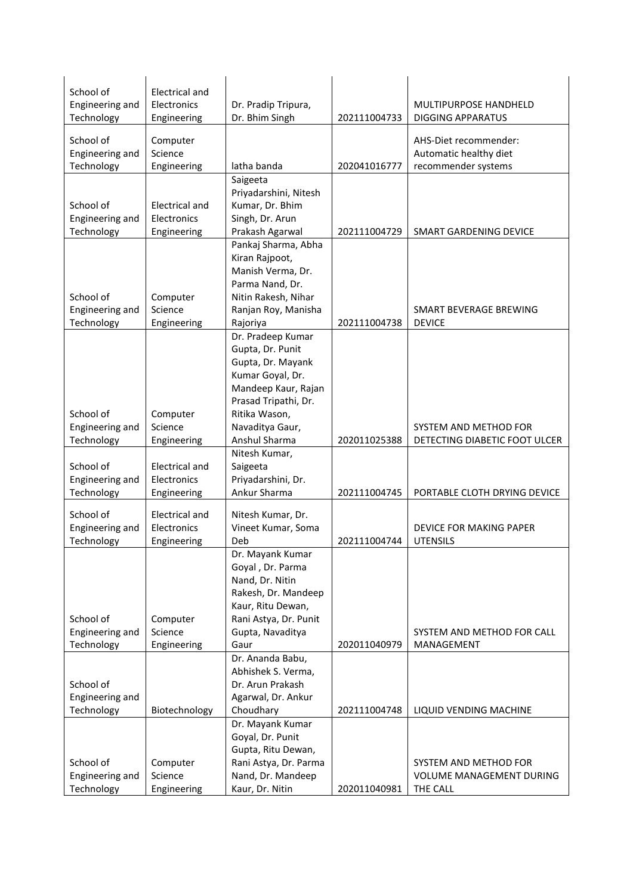| School of                     | <b>Electrical and</b> |                                         |              |                                 |
|-------------------------------|-----------------------|-----------------------------------------|--------------|---------------------------------|
| Engineering and<br>Technology | Electronics           | Dr. Pradip Tripura,<br>Dr. Bhim Singh   | 202111004733 | MULTIPURPOSE HANDHELD           |
|                               | Engineering           |                                         |              | <b>DIGGING APPARATUS</b>        |
| School of                     | Computer              |                                         |              | AHS-Diet recommender:           |
| Engineering and               | Science               |                                         |              | Automatic healthy diet          |
| Technology                    | Engineering           | latha banda                             | 202041016777 | recommender systems             |
|                               |                       | Saigeeta<br>Priyadarshini, Nitesh       |              |                                 |
| School of                     | <b>Electrical and</b> | Kumar, Dr. Bhim                         |              |                                 |
| Engineering and               | Electronics           | Singh, Dr. Arun                         |              |                                 |
| Technology                    | Engineering           | Prakash Agarwal                         | 202111004729 | SMART GARDENING DEVICE          |
|                               |                       | Pankaj Sharma, Abha                     |              |                                 |
|                               |                       | Kiran Rajpoot,                          |              |                                 |
|                               |                       | Manish Verma, Dr.                       |              |                                 |
|                               |                       | Parma Nand, Dr.                         |              |                                 |
| School of                     | Computer              | Nitin Rakesh, Nihar                     |              |                                 |
| Engineering and               | Science               | Ranjan Roy, Manisha                     |              | SMART BEVERAGE BREWING          |
| Technology                    | Engineering           | Rajoriya                                | 202111004738 | <b>DEVICE</b>                   |
|                               |                       | Dr. Pradeep Kumar                       |              |                                 |
|                               |                       | Gupta, Dr. Punit                        |              |                                 |
|                               |                       | Gupta, Dr. Mayank                       |              |                                 |
|                               |                       | Kumar Goyal, Dr.<br>Mandeep Kaur, Rajan |              |                                 |
|                               |                       | Prasad Tripathi, Dr.                    |              |                                 |
| School of                     | Computer              | Ritika Wason,                           |              |                                 |
| Engineering and               | Science               | Navaditya Gaur,                         |              | SYSTEM AND METHOD FOR           |
| Technology                    | Engineering           | Anshul Sharma                           | 202011025388 | DETECTING DIABETIC FOOT ULCER   |
|                               |                       | Nitesh Kumar,                           |              |                                 |
| School of                     | Electrical and        | Saigeeta                                |              |                                 |
| Engineering and               | Electronics           | Priyadarshini, Dr.                      |              |                                 |
| Technology                    | Engineering           | Ankur Sharma                            | 202111004745 | PORTABLE CLOTH DRYING DEVICE    |
| School of                     | <b>Electrical and</b> | Nitesh Kumar, Dr.                       |              |                                 |
| Engineering and               | Electronics           | Vineet Kumar, Soma                      |              | DEVICE FOR MAKING PAPER         |
| Technology                    | Engineering           | Deb                                     | 202111004744 | <b>UTENSILS</b>                 |
|                               |                       | Dr. Mayank Kumar                        |              |                                 |
|                               |                       | Goyal, Dr. Parma                        |              |                                 |
|                               |                       | Nand, Dr. Nitin                         |              |                                 |
|                               |                       | Rakesh, Dr. Mandeep                     |              |                                 |
|                               |                       | Kaur, Ritu Dewan,                       |              |                                 |
| School of                     | Computer              | Rani Astya, Dr. Punit                   |              |                                 |
| Engineering and               | Science               | Gupta, Navaditya                        |              | SYSTEM AND METHOD FOR CALL      |
| Technology                    | Engineering           | Gaur                                    | 202011040979 | MANAGEMENT                      |
|                               |                       | Dr. Ananda Babu,<br>Abhishek S. Verma,  |              |                                 |
| School of                     |                       | Dr. Arun Prakash                        |              |                                 |
| Engineering and               |                       | Agarwal, Dr. Ankur                      |              |                                 |
| Technology                    | Biotechnology         | Choudhary                               | 202111004748 | LIQUID VENDING MACHINE          |
|                               |                       | Dr. Mayank Kumar                        |              |                                 |
|                               |                       | Goyal, Dr. Punit                        |              |                                 |
|                               |                       | Gupta, Ritu Dewan,                      |              |                                 |
| School of                     | Computer              | Rani Astya, Dr. Parma                   |              | SYSTEM AND METHOD FOR           |
| Engineering and               | Science               | Nand, Dr. Mandeep                       |              | <b>VOLUME MANAGEMENT DURING</b> |
| Technology                    | Engineering           | Kaur, Dr. Nitin                         | 202011040981 | THE CALL                        |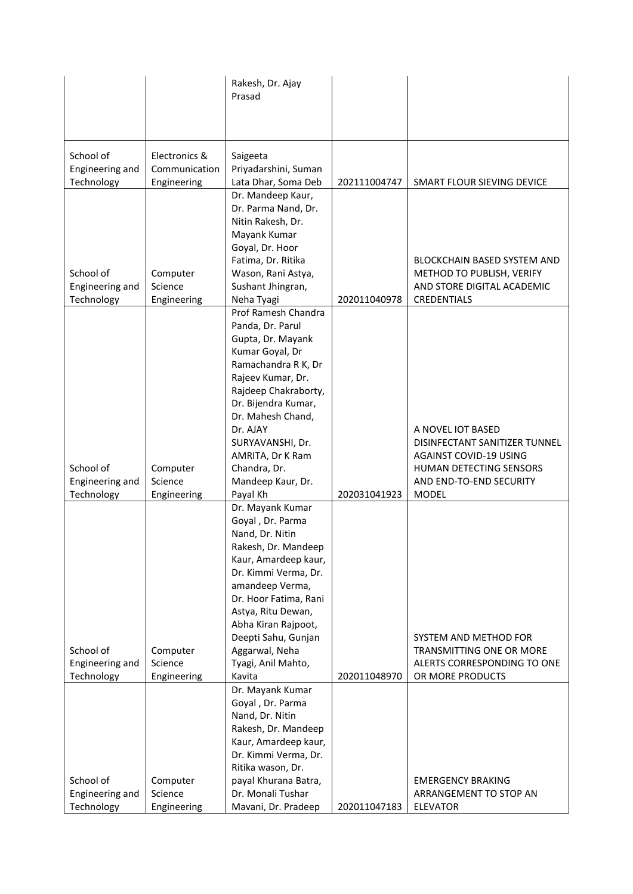|                               |                              | Rakesh, Dr. Ajay<br>Prasad                   |              |                                                    |
|-------------------------------|------------------------------|----------------------------------------------|--------------|----------------------------------------------------|
|                               |                              |                                              |              |                                                    |
| School of                     | Electronics &                | Saigeeta                                     |              |                                                    |
| Engineering and<br>Technology | Communication<br>Engineering | Priyadarshini, Suman<br>Lata Dhar, Soma Deb  | 202111004747 | SMART FLOUR SIEVING DEVICE                         |
|                               |                              | Dr. Mandeep Kaur,<br>Dr. Parma Nand, Dr.     |              |                                                    |
|                               |                              | Nitin Rakesh, Dr.                            |              |                                                    |
|                               |                              | Mayank Kumar<br>Goyal, Dr. Hoor              |              |                                                    |
|                               |                              | Fatima, Dr. Ritika                           |              | <b>BLOCKCHAIN BASED SYSTEM AND</b>                 |
| School of                     | Computer                     | Wason, Rani Astya,                           |              | METHOD TO PUBLISH, VERIFY                          |
| Engineering and<br>Technology | Science<br>Engineering       | Sushant Jhingran,<br>Neha Tyagi              | 202011040978 | AND STORE DIGITAL ACADEMIC<br>CREDENTIALS          |
|                               |                              | Prof Ramesh Chandra                          |              |                                                    |
|                               |                              | Panda, Dr. Parul<br>Gupta, Dr. Mayank        |              |                                                    |
|                               |                              | Kumar Goyal, Dr                              |              |                                                    |
|                               |                              | Ramachandra R K, Dr<br>Rajeev Kumar, Dr.     |              |                                                    |
|                               |                              | Rajdeep Chakraborty,                         |              |                                                    |
|                               |                              | Dr. Bijendra Kumar,                          |              |                                                    |
|                               |                              | Dr. Mahesh Chand,<br>Dr. AJAY                |              | A NOVEL IOT BASED                                  |
|                               |                              | SURYAVANSHI, Dr.                             |              | DISINFECTANT SANITIZER TUNNEL                      |
|                               |                              | AMRITA, Dr K Ram                             |              | <b>AGAINST COVID-19 USING</b>                      |
| School of<br>Engineering and  | Computer<br>Science          | Chandra, Dr.<br>Mandeep Kaur, Dr.            |              | HUMAN DETECTING SENSORS<br>AND END-TO-END SECURITY |
| Technology                    | Engineering                  | Payal Kh                                     | 202031041923 | <b>MODEL</b>                                       |
|                               |                              | Dr. Mayank Kumar<br>Goyal, Dr. Parma         |              |                                                    |
|                               |                              | Nand, Dr. Nitin                              |              |                                                    |
|                               |                              | Rakesh, Dr. Mandeep                          |              |                                                    |
|                               |                              | Kaur, Amardeep kaur,<br>Dr. Kimmi Verma, Dr. |              |                                                    |
|                               |                              | amandeep Verma,                              |              |                                                    |
|                               |                              | Dr. Hoor Fatima, Rani                        |              |                                                    |
|                               |                              | Astya, Ritu Dewan,<br>Abha Kiran Rajpoot,    |              |                                                    |
|                               |                              | Deepti Sahu, Gunjan                          |              | SYSTEM AND METHOD FOR                              |
| School of                     | Computer                     | Aggarwal, Neha                               |              | <b>TRANSMITTING ONE OR MORE</b>                    |
| Engineering and<br>Technology | Science<br>Engineering       | Tyagi, Anil Mahto,<br>Kavita                 | 202011048970 | ALERTS CORRESPONDING TO ONE<br>OR MORE PRODUCTS    |
|                               |                              | Dr. Mayank Kumar                             |              |                                                    |
|                               |                              | Goyal, Dr. Parma                             |              |                                                    |
|                               |                              | Nand, Dr. Nitin<br>Rakesh, Dr. Mandeep       |              |                                                    |
|                               |                              | Kaur, Amardeep kaur,                         |              |                                                    |
|                               |                              | Dr. Kimmi Verma, Dr.                         |              |                                                    |
| School of                     | Computer                     | Ritika wason, Dr.<br>payal Khurana Batra,    |              | <b>EMERGENCY BRAKING</b>                           |
| Engineering and               | Science                      | Dr. Monali Tushar                            |              | ARRANGEMENT TO STOP AN                             |
| Technology                    | Engineering                  | Mavani, Dr. Pradeep                          | 202011047183 | <b>ELEVATOR</b>                                    |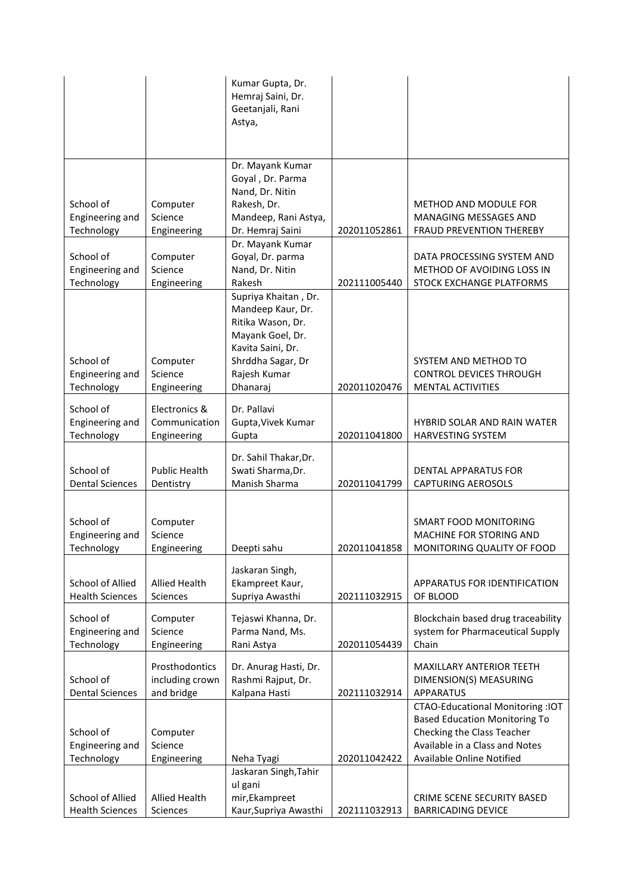|                               |                        | Kumar Gupta, Dr.<br>Hemraj Saini, Dr.<br>Geetanjali, Rani |              |                                                            |
|-------------------------------|------------------------|-----------------------------------------------------------|--------------|------------------------------------------------------------|
|                               |                        | Astya,                                                    |              |                                                            |
|                               |                        | Dr. Mayank Kumar<br>Goyal, Dr. Parma                      |              |                                                            |
|                               |                        | Nand, Dr. Nitin                                           |              |                                                            |
| School of<br>Engineering and  | Computer<br>Science    | Rakesh, Dr.<br>Mandeep, Rani Astya,                       |              | METHOD AND MODULE FOR<br>MANAGING MESSAGES AND             |
| Technology                    | Engineering            | Dr. Hemraj Saini                                          | 202011052861 | FRAUD PREVENTION THEREBY                                   |
|                               |                        | Dr. Mayank Kumar                                          |              |                                                            |
| School of                     | Computer               | Goyal, Dr. parma                                          |              | DATA PROCESSING SYSTEM AND                                 |
| Engineering and<br>Technology | Science<br>Engineering | Nand, Dr. Nitin<br>Rakesh                                 | 202111005440 | METHOD OF AVOIDING LOSS IN<br>STOCK EXCHANGE PLATFORMS     |
|                               |                        | Supriya Khaitan, Dr.                                      |              |                                                            |
|                               |                        | Mandeep Kaur, Dr.                                         |              |                                                            |
|                               |                        | Ritika Wason, Dr.                                         |              |                                                            |
|                               |                        | Mayank Goel, Dr.<br>Kavita Saini, Dr.                     |              |                                                            |
| School of                     | Computer               | Shrddha Sagar, Dr                                         |              | SYSTEM AND METHOD TO                                       |
| Engineering and               | Science                | Rajesh Kumar                                              |              | <b>CONTROL DEVICES THROUGH</b>                             |
| Technology                    | Engineering            | Dhanaraj                                                  | 202011020476 | MENTAL ACTIVITIES                                          |
| School of                     | Electronics &          | Dr. Pallavi                                               |              |                                                            |
| Engineering and               | Communication          | Gupta, Vivek Kumar                                        |              | <b>HYBRID SOLAR AND RAIN WATER</b>                         |
| Technology                    | Engineering            | Gupta                                                     | 202011041800 | HARVESTING SYSTEM                                          |
|                               |                        | Dr. Sahil Thakar, Dr.                                     |              |                                                            |
| School of                     | Public Health          | Swati Sharma, Dr.                                         |              | <b>DENTAL APPARATUS FOR</b>                                |
| <b>Dental Sciences</b>        | Dentistry              | Manish Sharma                                             | 202011041799 | <b>CAPTURING AEROSOLS</b>                                  |
|                               |                        |                                                           |              |                                                            |
| School of                     | Computer               |                                                           |              | SMART FOOD MONITORING                                      |
| Engineering and               | Science                |                                                           |              | MACHINE FOR STORING AND                                    |
| Technology                    | Engineering            | Deepti sahu                                               | 202011041858 | MONITORING QUALITY OF FOOD                                 |
|                               |                        | Jaskaran Singh,                                           |              |                                                            |
| <b>School of Allied</b>       | <b>Allied Health</b>   | Ekampreet Kaur,                                           |              | APPARATUS FOR IDENTIFICATION                               |
| <b>Health Sciences</b>        | Sciences               | Supriya Awasthi                                           | 202111032915 | OF BLOOD                                                   |
| School of                     | Computer               | Tejaswi Khanna, Dr.                                       |              | Blockchain based drug traceability                         |
| Engineering and               | Science                | Parma Nand, Ms.                                           |              | system for Pharmaceutical Supply                           |
| Technology                    | Engineering            | Rani Astya                                                | 202011054439 | Chain                                                      |
|                               | Prosthodontics         | Dr. Anurag Hasti, Dr.                                     |              | MAXILLARY ANTERIOR TEETH                                   |
| School of                     | including crown        | Rashmi Rajput, Dr.                                        |              | DIMENSION(S) MEASURING                                     |
| <b>Dental Sciences</b>        | and bridge             | Kalpana Hasti                                             | 202111032914 | <b>APPARATUS</b><br><b>CTAO-Educational Monitoring:IOT</b> |
|                               |                        |                                                           |              | <b>Based Education Monitoring To</b>                       |
| School of                     | Computer               |                                                           |              | Checking the Class Teacher                                 |
| Engineering and               | Science                |                                                           |              | Available in a Class and Notes                             |
| Technology                    | Engineering            | Neha Tyagi                                                | 202011042422 | Available Online Notified                                  |
|                               |                        | Jaskaran Singh, Tahir<br>ul gani                          |              |                                                            |
| School of Allied              | <b>Allied Health</b>   | mir, Ekampreet                                            |              | CRIME SCENE SECURITY BASED                                 |
| <b>Health Sciences</b>        | Sciences               | Kaur, Supriya Awasthi                                     | 202111032913 | <b>BARRICADING DEVICE</b>                                  |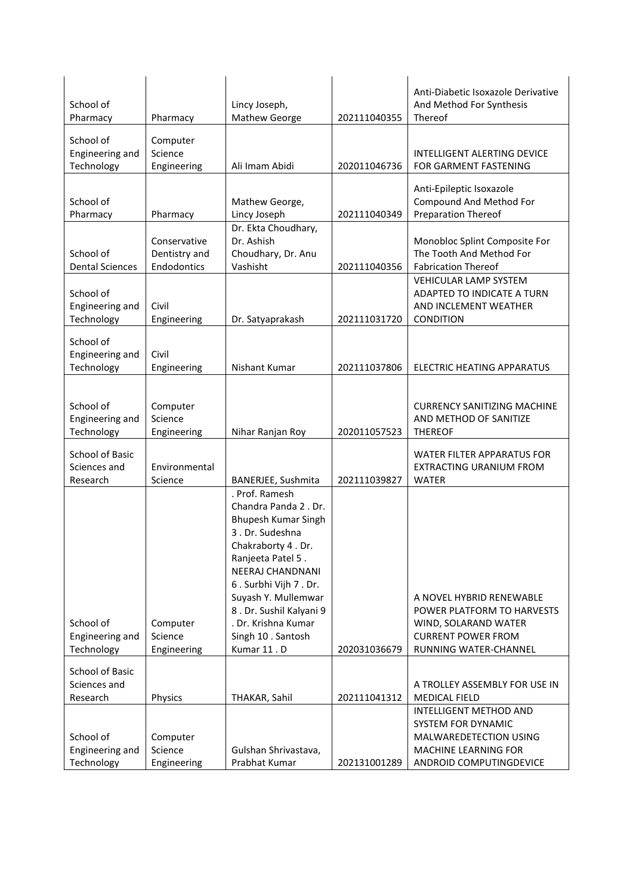| School of<br>Pharmacy         | Pharmacy               | Lincy Joseph,<br>Mathew George                 | 202111040355 | Anti-Diabetic Isoxazole Derivative<br>And Method For Synthesis<br>Thereof |
|-------------------------------|------------------------|------------------------------------------------|--------------|---------------------------------------------------------------------------|
|                               |                        |                                                |              |                                                                           |
| School of                     | Computer               |                                                |              |                                                                           |
| Engineering and<br>Technology | Science<br>Engineering | Ali Imam Abidi                                 | 202011046736 | INTELLIGENT ALERTING DEVICE<br>FOR GARMENT FASTENING                      |
|                               |                        |                                                |              |                                                                           |
|                               |                        |                                                |              | Anti-Epileptic Isoxazole                                                  |
| School of                     |                        | Mathew George,                                 |              | Compound And Method For                                                   |
| Pharmacy                      | Pharmacy               | Lincy Joseph                                   | 202111040349 | <b>Preparation Thereof</b>                                                |
|                               | Conservative           | Dr. Ekta Choudhary,<br>Dr. Ashish              |              | Monobloc Splint Composite For                                             |
| School of                     | Dentistry and          | Choudhary, Dr. Anu                             |              | The Tooth And Method For                                                  |
| <b>Dental Sciences</b>        | Endodontics            | Vashisht                                       | 202111040356 | <b>Fabrication Thereof</b>                                                |
|                               |                        |                                                |              | <b>VEHICULAR LAMP SYSTEM</b>                                              |
| School of                     |                        |                                                |              | ADAPTED TO INDICATE A TURN                                                |
| Engineering and               | Civil                  |                                                |              | AND INCLEMENT WEATHER                                                     |
| Technology                    | Engineering            | Dr. Satyaprakash                               | 202111031720 | CONDITION                                                                 |
| School of                     |                        |                                                |              |                                                                           |
| Engineering and               | Civil                  |                                                |              |                                                                           |
| Technology                    | Engineering            | Nishant Kumar                                  | 202111037806 | ELECTRIC HEATING APPARATUS                                                |
|                               |                        |                                                |              |                                                                           |
|                               |                        |                                                |              |                                                                           |
| School of<br>Engineering and  | Computer<br>Science    |                                                |              | <b>CURRENCY SANITIZING MACHINE</b><br>AND METHOD OF SANITIZE              |
| Technology                    | Engineering            | Nihar Ranjan Roy                               | 202011057523 | <b>THEREOF</b>                                                            |
|                               |                        |                                                |              |                                                                           |
| School of Basic               |                        |                                                |              | <b>WATER FILTER APPARATUS FOR</b>                                         |
| Sciences and                  | Environmental          |                                                |              | <b>EXTRACTING URANIUM FROM</b>                                            |
| Research                      | Science                | BANERJEE, Sushmita<br>. Prof. Ramesh           | 202111039827 | <b>WATER</b>                                                              |
|                               |                        | Chandra Panda 2. Dr.                           |              |                                                                           |
|                               |                        | Bhupesh Kumar Singh                            |              |                                                                           |
|                               |                        | 3. Dr. Sudeshna                                |              |                                                                           |
|                               |                        | Chakraborty 4. Dr.                             |              |                                                                           |
|                               |                        | Ranjeeta Patel 5.                              |              |                                                                           |
|                               |                        | NEERAJ CHANDNANI                               |              |                                                                           |
|                               |                        | 6. Surbhi Vijh 7. Dr.                          |              |                                                                           |
|                               |                        | Suyash Y. Mullemwar                            |              | A NOVEL HYBRID RENEWABLE                                                  |
| School of                     |                        | 8. Dr. Sushil Kalyani 9<br>. Dr. Krishna Kumar |              | POWER PLATFORM TO HARVESTS                                                |
| Engineering and               | Computer<br>Science    | Singh 10 . Santosh                             |              | WIND, SOLARAND WATER<br><b>CURRENT POWER FROM</b>                         |
| Technology                    | Engineering            | Kumar 11.D                                     | 202031036679 | RUNNING WATER-CHANNEL                                                     |
|                               |                        |                                                |              |                                                                           |
| School of Basic               |                        |                                                |              |                                                                           |
| Sciences and                  | Physics                |                                                | 202111041312 | A TROLLEY ASSEMBLY FOR USE IN                                             |
| Research                      |                        | THAKAR, Sahil                                  |              | <b>MEDICAL FIELD</b><br>INTELLIGENT METHOD AND                            |
|                               |                        |                                                |              | <b>SYSTEM FOR DYNAMIC</b>                                                 |
| School of                     | Computer               |                                                |              | MALWAREDETECTION USING                                                    |
| Engineering and               | Science                | Gulshan Shrivastava,                           |              | <b>MACHINE LEARNING FOR</b>                                               |
| Technology                    | Engineering            | Prabhat Kumar                                  | 202131001289 | ANDROID COMPUTINGDEVICE                                                   |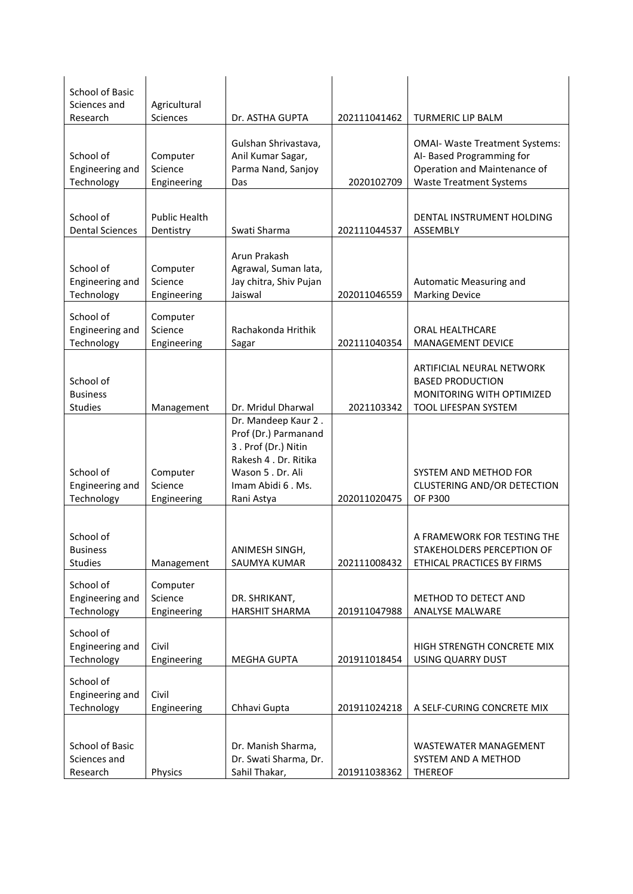| <b>School of Basic</b><br>Sciences and         | Agricultural                       |                                                                                                                                                     |              |                                                                                                                                      |
|------------------------------------------------|------------------------------------|-----------------------------------------------------------------------------------------------------------------------------------------------------|--------------|--------------------------------------------------------------------------------------------------------------------------------------|
| Research                                       | <b>Sciences</b>                    | Dr. ASTHA GUPTA                                                                                                                                     | 202111041462 | <b>TURMERIC LIP BALM</b>                                                                                                             |
| School of<br>Engineering and<br>Technology     | Computer<br>Science<br>Engineering | Gulshan Shrivastava,<br>Anil Kumar Sagar,<br>Parma Nand, Sanjoy<br>Das                                                                              | 2020102709   | <b>OMAI- Waste Treatment Systems:</b><br>AI- Based Programming for<br>Operation and Maintenance of<br><b>Waste Treatment Systems</b> |
| School of<br><b>Dental Sciences</b>            | <b>Public Health</b><br>Dentistry  | Swati Sharma                                                                                                                                        | 202111044537 | DENTAL INSTRUMENT HOLDING<br>ASSEMBLY                                                                                                |
| School of<br>Engineering and<br>Technology     | Computer<br>Science<br>Engineering | Arun Prakash<br>Agrawal, Suman lata,<br>Jay chitra, Shiv Pujan<br>Jaiswal                                                                           | 202011046559 | Automatic Measuring and<br><b>Marking Device</b>                                                                                     |
| School of<br>Engineering and<br>Technology     | Computer<br>Science<br>Engineering | Rachakonda Hrithik<br>Sagar                                                                                                                         | 202111040354 | ORAL HEALTHCARE<br>MANAGEMENT DEVICE                                                                                                 |
| School of<br><b>Business</b><br><b>Studies</b> | Management                         | Dr. Mridul Dharwal                                                                                                                                  | 2021103342   | ARTIFICIAL NEURAL NETWORK<br><b>BASED PRODUCTION</b><br>MONITORING WITH OPTIMIZED<br>TOOL LIFESPAN SYSTEM                            |
| School of<br>Engineering and<br>Technology     | Computer<br>Science<br>Engineering | Dr. Mandeep Kaur 2.<br>Prof (Dr.) Parmanand<br>3. Prof (Dr.) Nitin<br>Rakesh 4 . Dr. Ritika<br>Wason 5 . Dr. Ali<br>Imam Abidi 6. Ms.<br>Rani Astya | 202011020475 | SYSTEM AND METHOD FOR<br><b>CLUSTERING AND/OR DETECTION</b><br><b>OF P300</b>                                                        |
| School of<br><b>Business</b><br><b>Studies</b> | Management                         | ANIMESH SINGH,<br>SAUMYA KUMAR                                                                                                                      | 202111008432 | A FRAMEWORK FOR TESTING THE<br>STAKEHOLDERS PERCEPTION OF<br>ETHICAL PRACTICES BY FIRMS                                              |
| School of<br>Engineering and<br>Technology     | Computer<br>Science<br>Engineering | DR. SHRIKANT,<br><b>HARSHIT SHARMA</b>                                                                                                              | 201911047988 | <b>METHOD TO DETECT AND</b><br><b>ANALYSE MALWARE</b>                                                                                |
| School of<br>Engineering and<br>Technology     | Civil<br>Engineering               | <b>MEGHA GUPTA</b>                                                                                                                                  | 201911018454 | HIGH STRENGTH CONCRETE MIX<br>USING QUARRY DUST                                                                                      |
| School of<br>Engineering and<br>Technology     | Civil<br>Engineering               | Chhavi Gupta                                                                                                                                        | 201911024218 | A SELF-CURING CONCRETE MIX                                                                                                           |
| School of Basic<br>Sciences and<br>Research    | Physics                            | Dr. Manish Sharma,<br>Dr. Swati Sharma, Dr.<br>Sahil Thakar,                                                                                        | 201911038362 | <b>WASTEWATER MANAGEMENT</b><br>SYSTEM AND A METHOD<br><b>THEREOF</b>                                                                |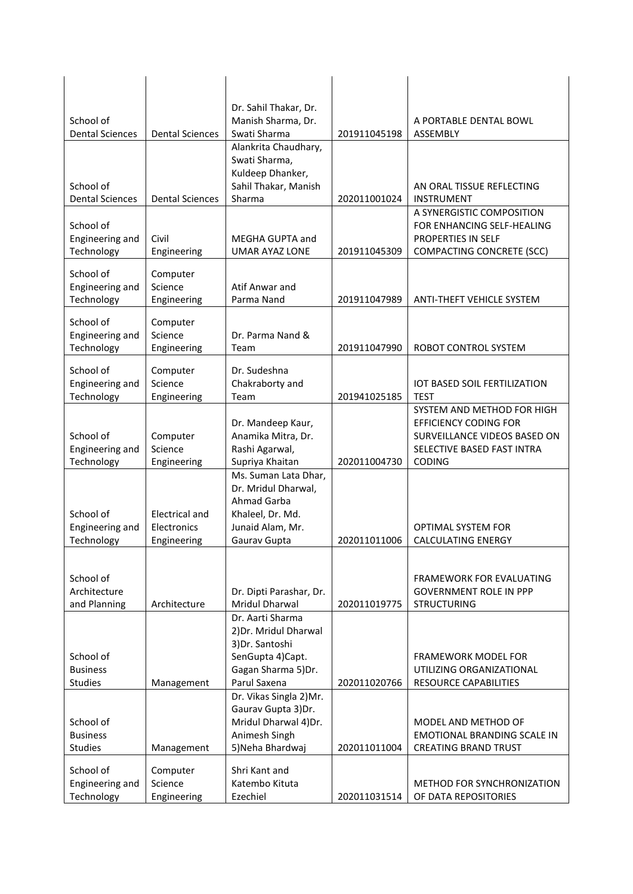| School of<br><b>Dental Sciences</b>        | <b>Dental Sciences</b>                              | Dr. Sahil Thakar, Dr.<br>Manish Sharma, Dr.<br>Swati Sharma                                                             | 201911045198 | A PORTABLE DENTAL BOWL<br>ASSEMBLY                                                                                                        |
|--------------------------------------------|-----------------------------------------------------|-------------------------------------------------------------------------------------------------------------------------|--------------|-------------------------------------------------------------------------------------------------------------------------------------------|
| School of<br><b>Dental Sciences</b>        | <b>Dental Sciences</b>                              | Alankrita Chaudhary,<br>Swati Sharma,<br>Kuldeep Dhanker,<br>Sahil Thakar, Manish<br>Sharma                             | 202011001024 | AN ORAL TISSUE REFLECTING<br><b>INSTRUMENT</b>                                                                                            |
| School of<br>Engineering and<br>Technology | Civil<br>Engineering                                | MEGHA GUPTA and<br><b>UMAR AYAZ LONE</b>                                                                                | 201911045309 | A SYNERGISTIC COMPOSITION<br>FOR ENHANCING SELF-HEALING<br>PROPERTIES IN SELF<br><b>COMPACTING CONCRETE (SCC)</b>                         |
| School of<br>Engineering and<br>Technology | Computer<br>Science<br>Engineering                  | Atif Anwar and<br>Parma Nand                                                                                            | 201911047989 | ANTI-THEFT VEHICLE SYSTEM                                                                                                                 |
| School of<br>Engineering and<br>Technology | Computer<br>Science<br>Engineering                  | Dr. Parma Nand &<br>Team                                                                                                | 201911047990 | ROBOT CONTROL SYSTEM                                                                                                                      |
| School of<br>Engineering and<br>Technology | Computer<br>Science<br>Engineering                  | Dr. Sudeshna<br>Chakraborty and<br>Team                                                                                 | 201941025185 | <b>IOT BASED SOIL FERTILIZATION</b><br><b>TEST</b>                                                                                        |
| School of<br>Engineering and<br>Technology | Computer<br>Science<br>Engineering                  | Dr. Mandeep Kaur,<br>Anamika Mitra, Dr.<br>Rashi Agarwal,<br>Supriya Khaitan                                            | 202011004730 | SYSTEM AND METHOD FOR HIGH<br><b>EFFICIENCY CODING FOR</b><br>SURVEILLANCE VIDEOS BASED ON<br>SELECTIVE BASED FAST INTRA<br><b>CODING</b> |
| School of<br>Engineering and<br>Technology | <b>Electrical and</b><br>Electronics<br>Engineering | Ms. Suman Lata Dhar,<br>Dr. Mridul Dharwal,<br>Ahmad Garba<br>Khaleel, Dr. Md.<br>Junaid Alam. Mr.<br>Gaurav Gupta      | 202011011006 | <b>OPTIMAL SYSTEM FOR</b><br><b>CALCULATING ENERGY</b>                                                                                    |
| School of<br>Architecture<br>and Planning  | Architecture                                        | Dr. Dipti Parashar, Dr.<br>Mridul Dharwal                                                                               | 202011019775 | FRAMEWORK FOR EVALUATING<br><b>GOVERNMENT ROLE IN PPP</b><br><b>STRUCTURING</b>                                                           |
| School of<br><b>Business</b><br>Studies    | Management                                          | Dr. Aarti Sharma<br>2) Dr. Mridul Dharwal<br>3) Dr. Santoshi<br>SenGupta 4)Capt.<br>Gagan Sharma 5) Dr.<br>Parul Saxena | 202011020766 | <b>FRAMEWORK MODEL FOR</b><br>UTILIZING ORGANIZATIONAL<br>RESOURCE CAPABILITIES                                                           |
| School of<br><b>Business</b><br>Studies    | Management                                          | Dr. Vikas Singla 2)Mr.<br>Gaurav Gupta 3)Dr.<br>Mridul Dharwal 4)Dr.<br>Animesh Singh<br>5) Neha Bhardwaj               | 202011011004 | MODEL AND METHOD OF<br>EMOTIONAL BRANDING SCALE IN<br><b>CREATING BRAND TRUST</b>                                                         |
| School of<br>Engineering and<br>Technology | Computer<br>Science<br>Engineering                  | Shri Kant and<br>Katembo Kituta<br>Ezechiel                                                                             | 202011031514 | METHOD FOR SYNCHRONIZATION<br>OF DATA REPOSITORIES                                                                                        |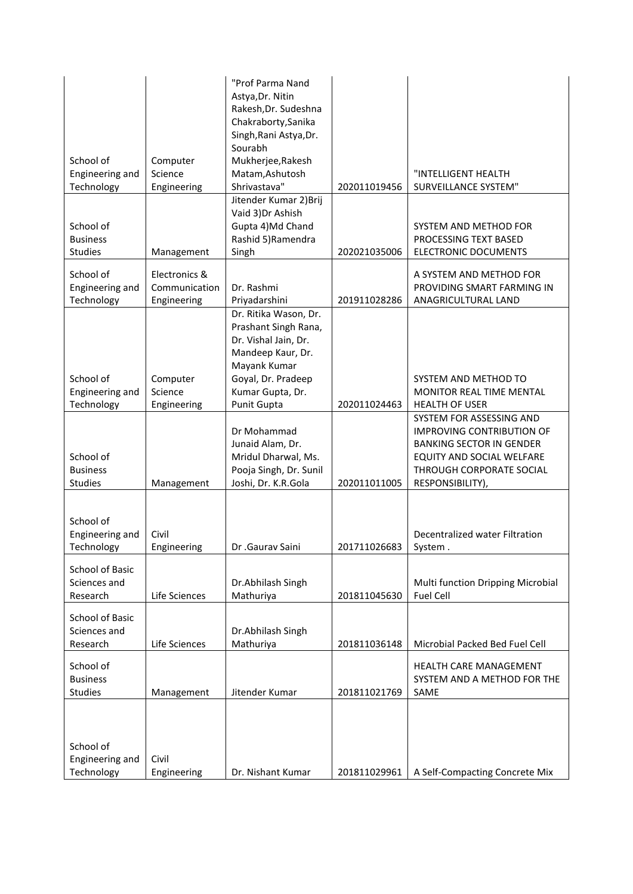| School of<br>Engineering and                       | Computer<br>Science                           | "Prof Parma Nand<br>Astya, Dr. Nitin<br>Rakesh, Dr. Sudeshna<br>Chakraborty, Sanika<br>Singh, Rani Astya, Dr.<br>Sourabh<br>Mukherjee, Rakesh<br>Matam, Ashutosh<br>Shrivastava" |              | "INTELLIGENT HEALTH                                                                                                                                                          |
|----------------------------------------------------|-----------------------------------------------|----------------------------------------------------------------------------------------------------------------------------------------------------------------------------------|--------------|------------------------------------------------------------------------------------------------------------------------------------------------------------------------------|
| Technology                                         | Engineering                                   | Jitender Kumar 2) Brij                                                                                                                                                           | 202011019456 | SURVEILLANCE SYSTEM"                                                                                                                                                         |
| School of<br><b>Business</b><br>Studies            | Management                                    | Vaid 3) Dr Ashish<br>Gupta 4)Md Chand<br>Rashid 5)Ramendra<br>Singh                                                                                                              | 202021035006 | SYSTEM AND METHOD FOR<br>PROCESSING TEXT BASED<br><b>ELECTRONIC DOCUMENTS</b>                                                                                                |
|                                                    |                                               |                                                                                                                                                                                  |              |                                                                                                                                                                              |
| School of<br>Engineering and<br>Technology         | Electronics &<br>Communication<br>Engineering | Dr. Rashmi<br>Priyadarshini                                                                                                                                                      | 201911028286 | A SYSTEM AND METHOD FOR<br>PROVIDING SMART FARMING IN<br>ANAGRICULTURAL LAND                                                                                                 |
| School of<br>Engineering and<br>Technology         | Computer<br>Science<br>Engineering            | Dr. Ritika Wason, Dr.<br>Prashant Singh Rana,<br>Dr. Vishal Jain, Dr.<br>Mandeep Kaur, Dr.<br>Mayank Kumar<br>Goyal, Dr. Pradeep<br>Kumar Gupta, Dr.<br>Punit Gupta              | 202011024463 | SYSTEM AND METHOD TO<br>MONITOR REAL TIME MENTAL<br><b>HEALTH OF USER</b>                                                                                                    |
| School of<br><b>Business</b><br><b>Studies</b>     | Management                                    | Dr Mohammad<br>Junaid Alam, Dr.<br>Mridul Dharwal, Ms.<br>Pooja Singh, Dr. Sunil<br>Joshi, Dr. K.R.Gola                                                                          | 202011011005 | SYSTEM FOR ASSESSING AND<br><b>IMPROVING CONTRIBUTION OF</b><br><b>BANKING SECTOR IN GENDER</b><br>EQUITY AND SOCIAL WELFARE<br>THROUGH CORPORATE SOCIAL<br>RESPONSIBILITY), |
|                                                    |                                               |                                                                                                                                                                                  |              |                                                                                                                                                                              |
| School of<br>Engineering and<br>Technology         | Civil<br>Engineering                          | Dr .Gaurav Saini                                                                                                                                                                 | 201711026683 | Decentralized water Filtration<br>System.                                                                                                                                    |
| School of Basic<br>Sciences and<br>Research        | Life Sciences                                 | Dr.Abhilash Singh<br>Mathuriya                                                                                                                                                   | 201811045630 | Multi function Dripping Microbial<br><b>Fuel Cell</b>                                                                                                                        |
| <b>School of Basic</b><br>Sciences and<br>Research | Life Sciences                                 | Dr.Abhilash Singh<br>Mathuriya                                                                                                                                                   | 201811036148 | Microbial Packed Bed Fuel Cell                                                                                                                                               |
| School of<br><b>Business</b><br>Studies            | Management                                    | Jitender Kumar                                                                                                                                                                   | 201811021769 | <b>HEALTH CARE MANAGEMENT</b><br>SYSTEM AND A METHOD FOR THE<br>SAME                                                                                                         |
| School of<br>Engineering and<br>Technology         | Civil<br>Engineering                          | Dr. Nishant Kumar                                                                                                                                                                | 201811029961 | A Self-Compacting Concrete Mix                                                                                                                                               |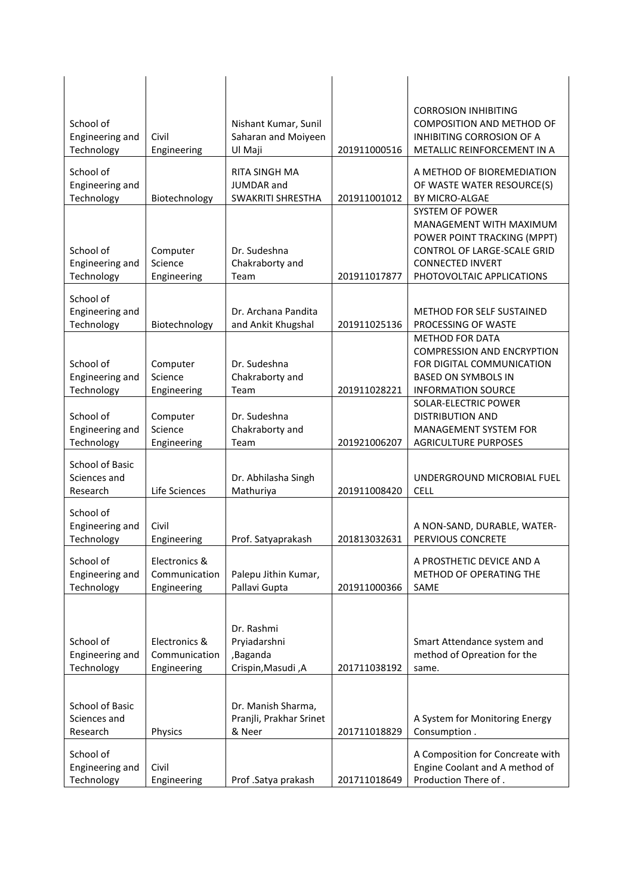| School of                                   |                                               | Nishant Kumar, Sunil                                         |              | <b>CORROSION INHIBITING</b><br><b>COMPOSITION AND METHOD OF</b>                                                                                                  |
|---------------------------------------------|-----------------------------------------------|--------------------------------------------------------------|--------------|------------------------------------------------------------------------------------------------------------------------------------------------------------------|
| Engineering and<br>Technology               | Civil<br>Engineering                          | Saharan and Moiyeen<br>Ul Maji                               | 201911000516 | INHIBITING CORROSION OF A<br>METALLIC REINFORCEMENT IN A                                                                                                         |
| School of<br>Engineering and<br>Technology  | Biotechnology                                 | <b>RITA SINGH MA</b><br>JUMDAR and<br>SWAKRITI SHRESTHA      | 201911001012 | A METHOD OF BIOREMEDIATION<br>OF WASTE WATER RESOURCE(S)<br>BY MICRO-ALGAE                                                                                       |
| School of<br>Engineering and<br>Technology  | Computer<br>Science<br>Engineering            | Dr. Sudeshna<br>Chakraborty and<br>Team                      | 201911017877 | SYSTEM OF POWER<br>MANAGEMENT WITH MAXIMUM<br>POWER POINT TRACKING (MPPT)<br>CONTROL OF LARGE-SCALE GRID<br><b>CONNECTED INVERT</b><br>PHOTOVOLTAIC APPLICATIONS |
| School of<br>Engineering and<br>Technology  | Biotechnology                                 | Dr. Archana Pandita<br>and Ankit Khugshal                    | 201911025136 | <b>METHOD FOR SELF SUSTAINED</b><br>PROCESSING OF WASTE                                                                                                          |
| School of<br>Engineering and<br>Technology  | Computer<br>Science<br>Engineering            | Dr. Sudeshna<br>Chakraborty and<br>Team                      | 201911028221 | <b>METHOD FOR DATA</b><br><b>COMPRESSION AND ENCRYPTION</b><br>FOR DIGITAL COMMUNICATION<br><b>BASED ON SYMBOLS IN</b><br><b>INFORMATION SOURCE</b>              |
| School of<br>Engineering and<br>Technology  | Computer<br>Science<br>Engineering            | Dr. Sudeshna<br>Chakraborty and<br>Team                      | 201921006207 | SOLAR-ELECTRIC POWER<br><b>DISTRIBUTION AND</b><br>MANAGEMENT SYSTEM FOR<br><b>AGRICULTURE PURPOSES</b>                                                          |
| School of Basic<br>Sciences and<br>Research | Life Sciences                                 | Dr. Abhilasha Singh<br>Mathuriya                             | 201911008420 | UNDERGROUND MICROBIAL FUEL<br><b>CELL</b>                                                                                                                        |
| School of<br>Engineering and<br>Technology  | Civil<br>Engineering                          | Prof. Satyaprakash                                           | 201813032631 | A NON-SAND, DURABLE, WATER-<br>PERVIOUS CONCRETE                                                                                                                 |
| School of<br>Engineering and<br>Technology  | Electronics &<br>Communication<br>Engineering | Palepu Jithin Kumar,<br>Pallavi Gupta                        | 201911000366 | A PROSTHETIC DEVICE AND A<br>METHOD OF OPERATING THE<br>SAME                                                                                                     |
| School of<br>Engineering and<br>Technology  | Electronics &<br>Communication<br>Engineering | Dr. Rashmi<br>Pryiadarshni<br>,Baganda<br>Crispin, Masudi, A | 201711038192 | Smart Attendance system and<br>method of Opreation for the<br>same.                                                                                              |
| School of Basic<br>Sciences and<br>Research | Physics                                       | Dr. Manish Sharma,<br>Pranjli, Prakhar Srinet<br>& Neer      | 201711018829 | A System for Monitoring Energy<br>Consumption.                                                                                                                   |
| School of<br>Engineering and<br>Technology  | Civil<br>Engineering                          | Prof .Satya prakash                                          | 201711018649 | A Composition for Concreate with<br>Engine Coolant and A method of<br>Production There of.                                                                       |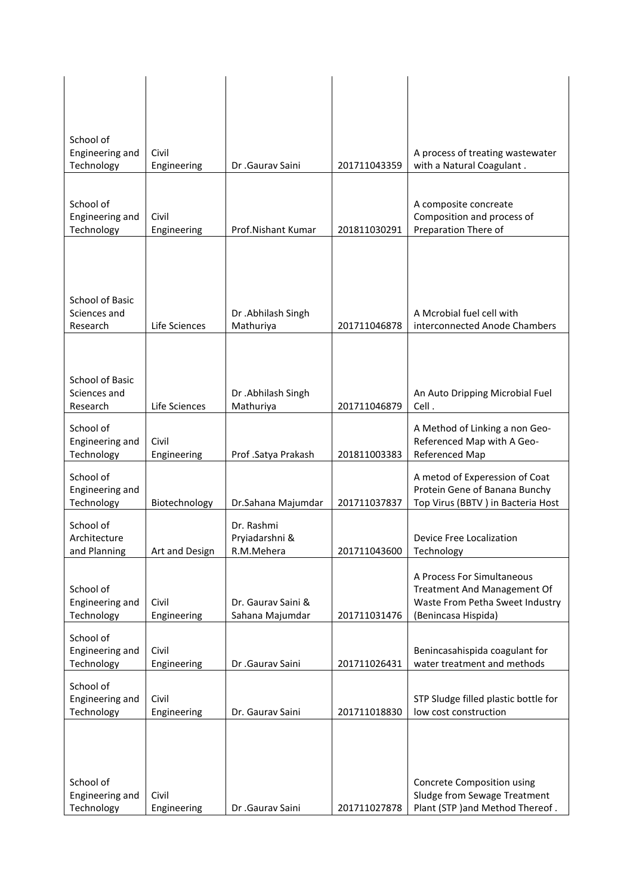| School of<br>Engineering and<br>Technology  | Civil<br>Engineering | Dr .Gauray Saini                           | 201711043359 | A process of treating wastewater<br>with a Natural Coagulant.                                                       |
|---------------------------------------------|----------------------|--------------------------------------------|--------------|---------------------------------------------------------------------------------------------------------------------|
| School of<br>Engineering and<br>Technology  | Civil<br>Engineering | Prof.Nishant Kumar                         | 201811030291 | A composite concreate<br>Composition and process of<br>Preparation There of                                         |
| School of Basic<br>Sciences and<br>Research | Life Sciences        | Dr .Abhilash Singh<br>Mathuriya            | 201711046878 | A Mcrobial fuel cell with<br>interconnected Anode Chambers                                                          |
| School of Basic<br>Sciences and<br>Research | Life Sciences        | Dr .Abhilash Singh<br>Mathuriya            | 201711046879 | An Auto Dripping Microbial Fuel<br>Cell.                                                                            |
| School of<br>Engineering and<br>Technology  | Civil<br>Engineering | Prof .Satya Prakash                        | 201811003383 | A Method of Linking a non Geo-<br>Referenced Map with A Geo-<br>Referenced Map                                      |
| School of<br>Engineering and<br>Technology  | Biotechnology        | Dr.Sahana Majumdar                         | 201711037837 | A metod of Experession of Coat<br>Protein Gene of Banana Bunchy<br>Top Virus (BBTV) in Bacteria Host                |
| School of<br>Architecture<br>and Planning   | Art and Design       | Dr. Rashmi<br>Pryiadarshni &<br>R.M.Mehera | 201711043600 | Device Free Localization<br>Technology                                                                              |
| School of<br>Engineering and<br>Technology  | Civil<br>Engineering | Dr. Gaurav Saini &<br>Sahana Majumdar      | 201711031476 | A Process For Simultaneous<br>Treatment And Management Of<br>Waste From Petha Sweet Industry<br>(Benincasa Hispida) |
| School of<br>Engineering and<br>Technology  | Civil<br>Engineering | Dr .Gaurav Saini                           | 201711026431 | Benincasahispida coagulant for<br>water treatment and methods                                                       |
| School of<br>Engineering and<br>Technology  | Civil<br>Engineering | Dr. Gaurav Saini                           | 201711018830 | STP Sludge filled plastic bottle for<br>low cost construction                                                       |
| School of<br>Engineering and<br>Technology  | Civil<br>Engineering | Dr .Gaurav Saini                           | 201711027878 | Concrete Composition using<br>Sludge from Sewage Treatment<br>Plant (STP )and Method Thereof.                       |